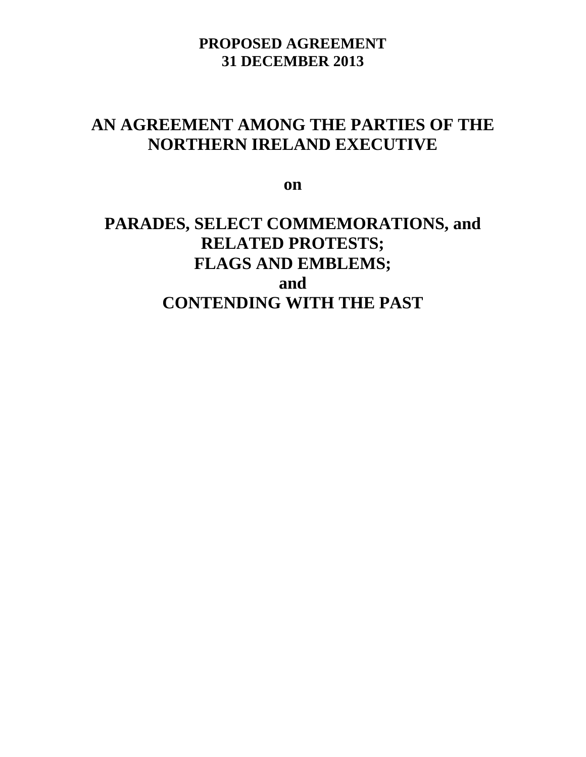# **AN AGREEMENT AMONG THE PARTIES OF THE NORTHERN IRELAND EXECUTIVE**

**on**

# **PARADES, SELECT COMMEMORATIONS, and RELATED PROTESTS; FLAGS AND EMBLEMS; and CONTENDING WITH THE PAST**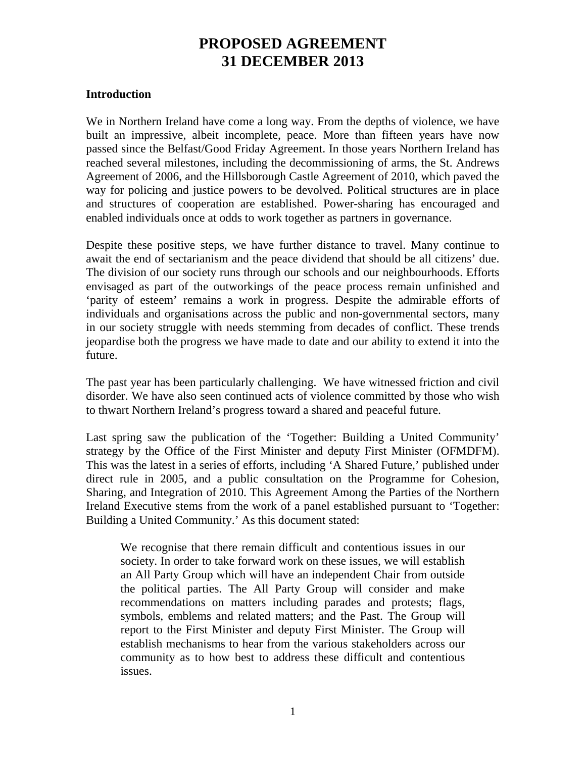### **Introduction**

We in Northern Ireland have come a long way. From the depths of violence, we have built an impressive, albeit incomplete, peace. More than fifteen years have now passed since the Belfast/Good Friday Agreement. In those years Northern Ireland has reached several milestones, including the decommissioning of arms, the St. Andrews Agreement of 2006, and the Hillsborough Castle Agreement of 2010, which paved the way for policing and justice powers to be devolved. Political structures are in place and structures of cooperation are established. Power-sharing has encouraged and enabled individuals once at odds to work together as partners in governance.

Despite these positive steps, we have further distance to travel. Many continue to await the end of sectarianism and the peace dividend that should be all citizens' due. The division of our society runs through our schools and our neighbourhoods. Efforts envisaged as part of the outworkings of the peace process remain unfinished and 'parity of esteem' remains a work in progress. Despite the admirable efforts of individuals and organisations across the public and non-governmental sectors, many in our society struggle with needs stemming from decades of conflict. These trends jeopardise both the progress we have made to date and our ability to extend it into the future.

The past year has been particularly challenging. We have witnessed friction and civil disorder. We have also seen continued acts of violence committed by those who wish to thwart Northern Ireland's progress toward a shared and peaceful future.

Last spring saw the publication of the 'Together: Building a United Community' strategy by the Office of the First Minister and deputy First Minister (OFMDFM). This was the latest in a series of efforts, including 'A Shared Future,' published under direct rule in 2005, and a public consultation on the Programme for Cohesion, Sharing, and Integration of 2010. This Agreement Among the Parties of the Northern Ireland Executive stems from the work of a panel established pursuant to 'Together: Building a United Community.' As this document stated:

We recognise that there remain difficult and contentious issues in our society. In order to take forward work on these issues, we will establish an All Party Group which will have an independent Chair from outside the political parties. The All Party Group will consider and make recommendations on matters including parades and protests; flags, symbols, emblems and related matters; and the Past. The Group will report to the First Minister and deputy First Minister. The Group will establish mechanisms to hear from the various stakeholders across our community as to how best to address these difficult and contentious issues.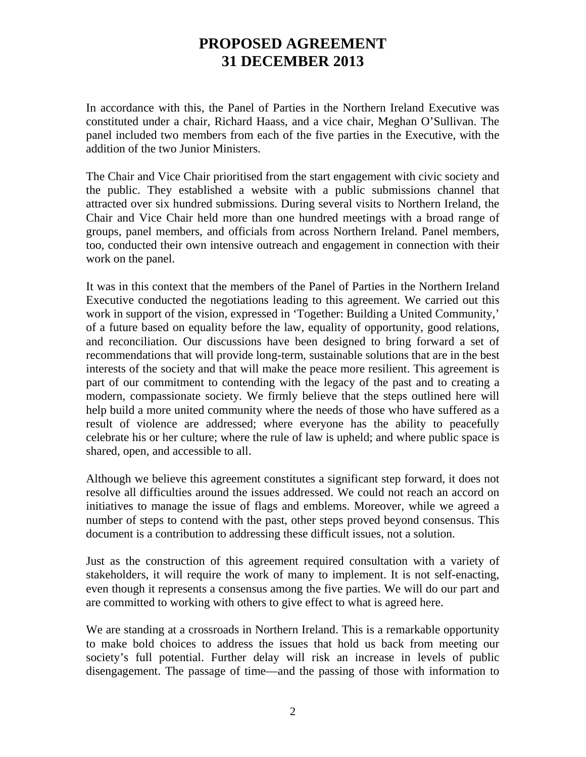In accordance with this, the Panel of Parties in the Northern Ireland Executive was constituted under a chair, Richard Haass, and a vice chair, Meghan O'Sullivan. The panel included two members from each of the five parties in the Executive, with the addition of the two Junior Ministers.

The Chair and Vice Chair prioritised from the start engagement with civic society and the public. They established a website with a public submissions channel that attracted over six hundred submissions. During several visits to Northern Ireland, the Chair and Vice Chair held more than one hundred meetings with a broad range of groups, panel members, and officials from across Northern Ireland. Panel members, too, conducted their own intensive outreach and engagement in connection with their work on the panel.

It was in this context that the members of the Panel of Parties in the Northern Ireland Executive conducted the negotiations leading to this agreement. We carried out this work in support of the vision, expressed in 'Together: Building a United Community,' of a future based on equality before the law, equality of opportunity, good relations, and reconciliation. Our discussions have been designed to bring forward a set of recommendations that will provide long-term, sustainable solutions that are in the best interests of the society and that will make the peace more resilient. This agreement is part of our commitment to contending with the legacy of the past and to creating a modern, compassionate society. We firmly believe that the steps outlined here will help build a more united community where the needs of those who have suffered as a result of violence are addressed; where everyone has the ability to peacefully celebrate his or her culture; where the rule of law is upheld; and where public space is shared, open, and accessible to all.

Although we believe this agreement constitutes a significant step forward, it does not resolve all difficulties around the issues addressed. We could not reach an accord on initiatives to manage the issue of flags and emblems. Moreover, while we agreed a number of steps to contend with the past, other steps proved beyond consensus. This document is a contribution to addressing these difficult issues, not a solution.

Just as the construction of this agreement required consultation with a variety of stakeholders, it will require the work of many to implement. It is not self-enacting, even though it represents a consensus among the five parties. We will do our part and are committed to working with others to give effect to what is agreed here.

We are standing at a crossroads in Northern Ireland. This is a remarkable opportunity to make bold choices to address the issues that hold us back from meeting our society's full potential. Further delay will risk an increase in levels of public disengagement. The passage of time—and the passing of those with information to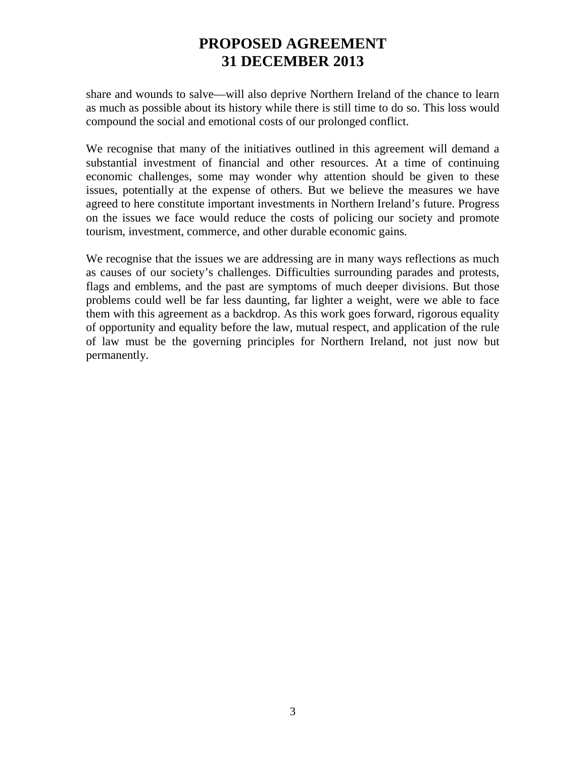share and wounds to salve—will also deprive Northern Ireland of the chance to learn as much as possible about its history while there is still time to do so. This loss would compound the social and emotional costs of our prolonged conflict.

We recognise that many of the initiatives outlined in this agreement will demand a substantial investment of financial and other resources. At a time of continuing economic challenges, some may wonder why attention should be given to these issues, potentially at the expense of others. But we believe the measures we have agreed to here constitute important investments in Northern Ireland's future. Progress on the issues we face would reduce the costs of policing our society and promote tourism, investment, commerce, and other durable economic gains.

We recognise that the issues we are addressing are in many ways reflections as much as causes of our society's challenges. Difficulties surrounding parades and protests, flags and emblems, and the past are symptoms of much deeper divisions. But those problems could well be far less daunting, far lighter a weight, were we able to face them with this agreement as a backdrop. As this work goes forward, rigorous equality of opportunity and equality before the law, mutual respect, and application of the rule of law must be the governing principles for Northern Ireland, not just now but permanently.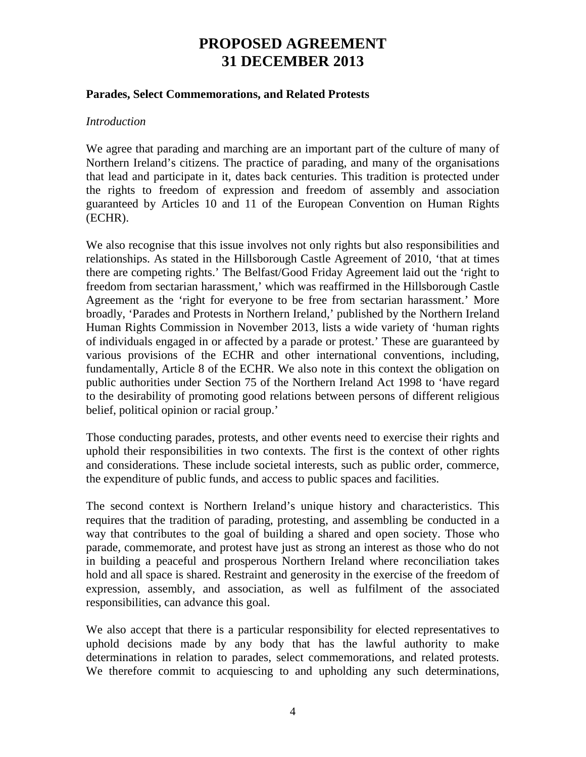#### **Parades, Select Commemorations, and Related Protests**

#### *Introduction*

We agree that parading and marching are an important part of the culture of many of Northern Ireland's citizens. The practice of parading, and many of the organisations that lead and participate in it, dates back centuries. This tradition is protected under the rights to freedom of expression and freedom of assembly and association guaranteed by Articles 10 and 11 of the European Convention on Human Rights (ECHR).

We also recognise that this issue involves not only rights but also responsibilities and relationships. As stated in the Hillsborough Castle Agreement of 2010, 'that at times there are competing rights.' The Belfast/Good Friday Agreement laid out the 'right to freedom from sectarian harassment,' which was reaffirmed in the Hillsborough Castle Agreement as the 'right for everyone to be free from sectarian harassment.' More broadly, 'Parades and Protests in Northern Ireland,' published by the Northern Ireland Human Rights Commission in November 2013, lists a wide variety of 'human rights of individuals engaged in or affected by a parade or protest.' These are guaranteed by various provisions of the ECHR and other international conventions, including, fundamentally, Article 8 of the ECHR. We also note in this context the obligation on public authorities under Section 75 of the Northern Ireland Act 1998 to 'have regard to the desirability of promoting good relations between persons of different religious belief, political opinion or racial group.'

Those conducting parades, protests, and other events need to exercise their rights and uphold their responsibilities in two contexts. The first is the context of other rights and considerations. These include societal interests, such as public order, commerce, the expenditure of public funds, and access to public spaces and facilities.

The second context is Northern Ireland's unique history and characteristics. This requires that the tradition of parading, protesting, and assembling be conducted in a way that contributes to the goal of building a shared and open society. Those who parade, commemorate, and protest have just as strong an interest as those who do not in building a peaceful and prosperous Northern Ireland where reconciliation takes hold and all space is shared. Restraint and generosity in the exercise of the freedom of expression, assembly, and association, as well as fulfilment of the associated responsibilities, can advance this goal.

We also accept that there is a particular responsibility for elected representatives to uphold decisions made by any body that has the lawful authority to make determinations in relation to parades, select commemorations, and related protests. We therefore commit to acquiescing to and upholding any such determinations,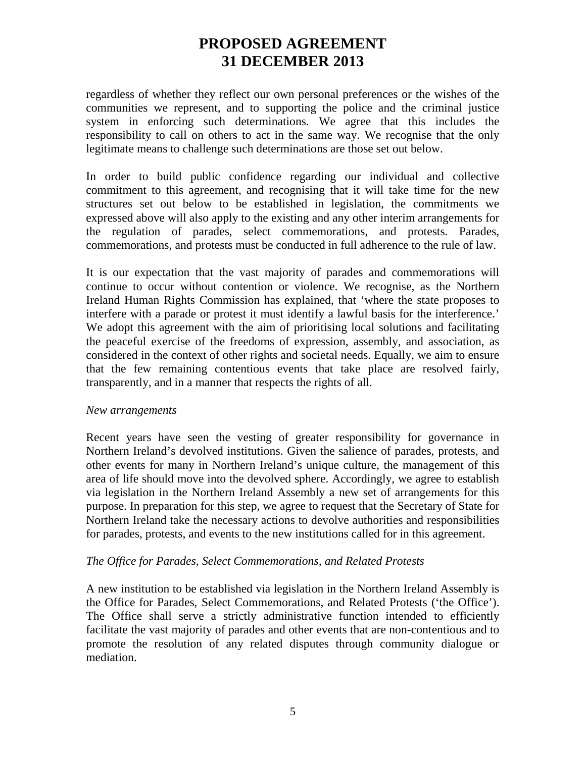regardless of whether they reflect our own personal preferences or the wishes of the communities we represent, and to supporting the police and the criminal justice system in enforcing such determinations. We agree that this includes the responsibility to call on others to act in the same way. We recognise that the only legitimate means to challenge such determinations are those set out below.

In order to build public confidence regarding our individual and collective commitment to this agreement, and recognising that it will take time for the new structures set out below to be established in legislation, the commitments we expressed above will also apply to the existing and any other interim arrangements for the regulation of parades, select commemorations, and protests. Parades, commemorations, and protests must be conducted in full adherence to the rule of law.

It is our expectation that the vast majority of parades and commemorations will continue to occur without contention or violence. We recognise, as the Northern Ireland Human Rights Commission has explained, that 'where the state proposes to interfere with a parade or protest it must identify a lawful basis for the interference.' We adopt this agreement with the aim of prioritising local solutions and facilitating the peaceful exercise of the freedoms of expression, assembly, and association, as considered in the context of other rights and societal needs. Equally, we aim to ensure that the few remaining contentious events that take place are resolved fairly, transparently, and in a manner that respects the rights of all.

### *New arrangements*

Recent years have seen the vesting of greater responsibility for governance in Northern Ireland's devolved institutions. Given the salience of parades, protests, and other events for many in Northern Ireland's unique culture, the management of this area of life should move into the devolved sphere. Accordingly, we agree to establish via legislation in the Northern Ireland Assembly a new set of arrangements for this purpose. In preparation for this step, we agree to request that the Secretary of State for Northern Ireland take the necessary actions to devolve authorities and responsibilities for parades, protests, and events to the new institutions called for in this agreement.

### *The Office for Parades, Select Commemorations, and Related Protests*

A new institution to be established via legislation in the Northern Ireland Assembly is the Office for Parades, Select Commemorations, and Related Protests ('the Office'). The Office shall serve a strictly administrative function intended to efficiently facilitate the vast majority of parades and other events that are non-contentious and to promote the resolution of any related disputes through community dialogue or mediation.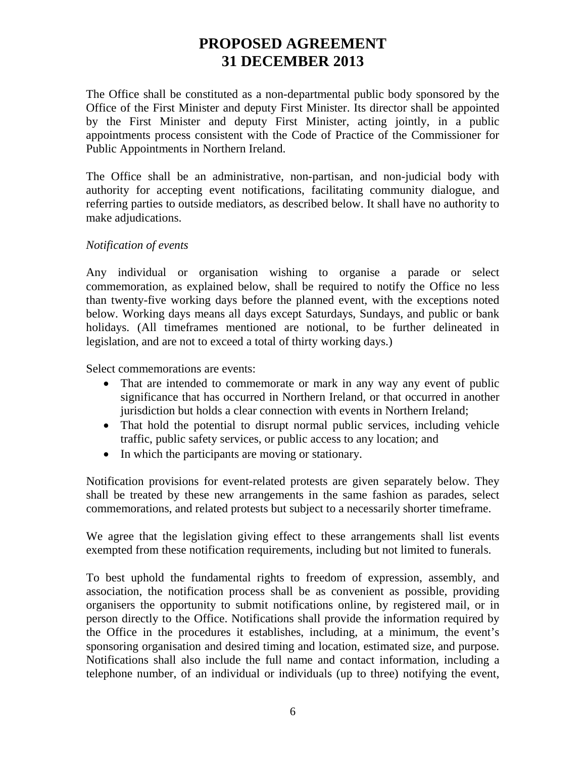The Office shall be constituted as a non-departmental public body sponsored by the Office of the First Minister and deputy First Minister. Its director shall be appointed by the First Minister and deputy First Minister, acting jointly, in a public appointments process consistent with the Code of Practice of the Commissioner for Public Appointments in Northern Ireland.

The Office shall be an administrative, non-partisan, and non-judicial body with authority for accepting event notifications, facilitating community dialogue, and referring parties to outside mediators, as described below. It shall have no authority to make adjudications.

### *Notification of events*

Any individual or organisation wishing to organise a parade or select commemoration, as explained below, shall be required to notify the Office no less than twenty-five working days before the planned event, with the exceptions noted below. Working days means all days except Saturdays, Sundays, and public or bank holidays. (All timeframes mentioned are notional, to be further delineated in legislation, and are not to exceed a total of thirty working days.)

Select commemorations are events:

- That are intended to commemorate or mark in any way any event of public significance that has occurred in Northern Ireland, or that occurred in another jurisdiction but holds a clear connection with events in Northern Ireland;
- That hold the potential to disrupt normal public services, including vehicle traffic, public safety services, or public access to any location; and
- In which the participants are moving or stationary.

Notification provisions for event-related protests are given separately below. They shall be treated by these new arrangements in the same fashion as parades, select commemorations, and related protests but subject to a necessarily shorter timeframe.

We agree that the legislation giving effect to these arrangements shall list events exempted from these notification requirements, including but not limited to funerals.

To best uphold the fundamental rights to freedom of expression, assembly, and association, the notification process shall be as convenient as possible, providing organisers the opportunity to submit notifications online, by registered mail, or in person directly to the Office. Notifications shall provide the information required by the Office in the procedures it establishes, including, at a minimum, the event's sponsoring organisation and desired timing and location, estimated size, and purpose. Notifications shall also include the full name and contact information, including a telephone number, of an individual or individuals (up to three) notifying the event,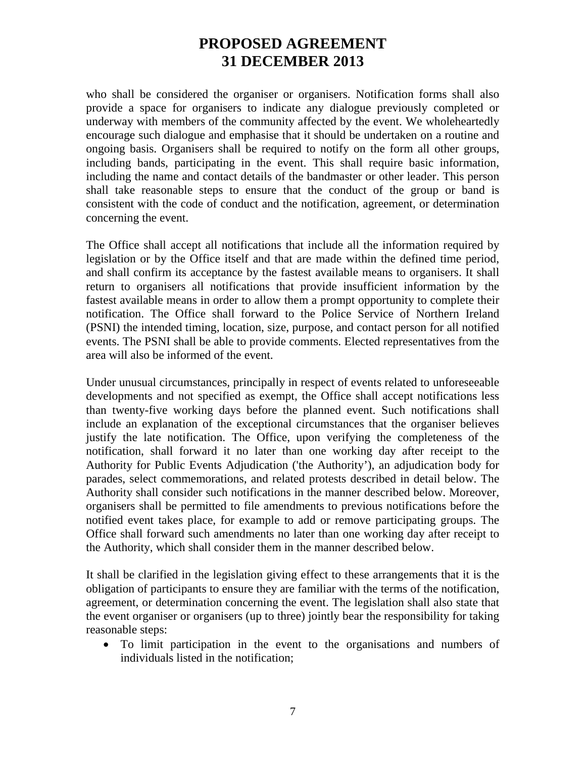who shall be considered the organiser or organisers. Notification forms shall also provide a space for organisers to indicate any dialogue previously completed or underway with members of the community affected by the event. We wholeheartedly encourage such dialogue and emphasise that it should be undertaken on a routine and ongoing basis. Organisers shall be required to notify on the form all other groups, including bands, participating in the event. This shall require basic information, including the name and contact details of the bandmaster or other leader. This person shall take reasonable steps to ensure that the conduct of the group or band is consistent with the code of conduct and the notification, agreement, or determination concerning the event.

The Office shall accept all notifications that include all the information required by legislation or by the Office itself and that are made within the defined time period, and shall confirm its acceptance by the fastest available means to organisers. It shall return to organisers all notifications that provide insufficient information by the fastest available means in order to allow them a prompt opportunity to complete their notification. The Office shall forward to the Police Service of Northern Ireland (PSNI) the intended timing, location, size, purpose, and contact person for all notified events. The PSNI shall be able to provide comments. Elected representatives from the area will also be informed of the event.

Under unusual circumstances, principally in respect of events related to unforeseeable developments and not specified as exempt, the Office shall accept notifications less than twenty-five working days before the planned event. Such notifications shall include an explanation of the exceptional circumstances that the organiser believes justify the late notification. The Office, upon verifying the completeness of the notification, shall forward it no later than one working day after receipt to the Authority for Public Events Adjudication ('the Authority'), an adjudication body for parades, select commemorations, and related protests described in detail below. The Authority shall consider such notifications in the manner described below. Moreover, organisers shall be permitted to file amendments to previous notifications before the notified event takes place, for example to add or remove participating groups. The Office shall forward such amendments no later than one working day after receipt to the Authority, which shall consider them in the manner described below.

It shall be clarified in the legislation giving effect to these arrangements that it is the obligation of participants to ensure they are familiar with the terms of the notification, agreement, or determination concerning the event. The legislation shall also state that the event organiser or organisers (up to three) jointly bear the responsibility for taking reasonable steps:

• To limit participation in the event to the organisations and numbers of individuals listed in the notification;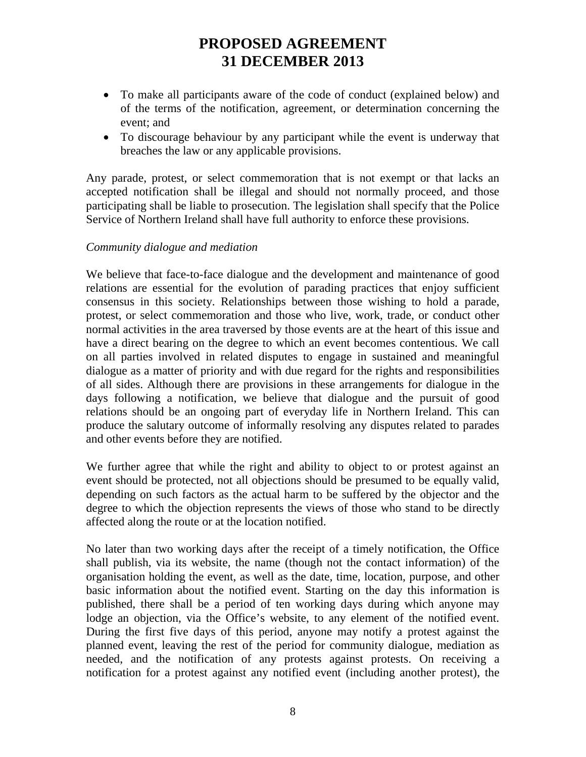- To make all participants aware of the code of conduct (explained below) and of the terms of the notification, agreement, or determination concerning the event; and
- To discourage behaviour by any participant while the event is underway that breaches the law or any applicable provisions.

Any parade, protest, or select commemoration that is not exempt or that lacks an accepted notification shall be illegal and should not normally proceed, and those participating shall be liable to prosecution. The legislation shall specify that the Police Service of Northern Ireland shall have full authority to enforce these provisions.

### *Community dialogue and mediation*

We believe that face-to-face dialogue and the development and maintenance of good relations are essential for the evolution of parading practices that enjoy sufficient consensus in this society. Relationships between those wishing to hold a parade, protest, or select commemoration and those who live, work, trade, or conduct other normal activities in the area traversed by those events are at the heart of this issue and have a direct bearing on the degree to which an event becomes contentious. We call on all parties involved in related disputes to engage in sustained and meaningful dialogue as a matter of priority and with due regard for the rights and responsibilities of all sides. Although there are provisions in these arrangements for dialogue in the days following a notification, we believe that dialogue and the pursuit of good relations should be an ongoing part of everyday life in Northern Ireland. This can produce the salutary outcome of informally resolving any disputes related to parades and other events before they are notified.

We further agree that while the right and ability to object to or protest against an event should be protected, not all objections should be presumed to be equally valid, depending on such factors as the actual harm to be suffered by the objector and the degree to which the objection represents the views of those who stand to be directly affected along the route or at the location notified.

No later than two working days after the receipt of a timely notification, the Office shall publish, via its website, the name (though not the contact information) of the organisation holding the event, as well as the date, time, location, purpose, and other basic information about the notified event. Starting on the day this information is published, there shall be a period of ten working days during which anyone may lodge an objection, via the Office's website, to any element of the notified event. During the first five days of this period, anyone may notify a protest against the planned event, leaving the rest of the period for community dialogue, mediation as needed, and the notification of any protests against protests. On receiving a notification for a protest against any notified event (including another protest), the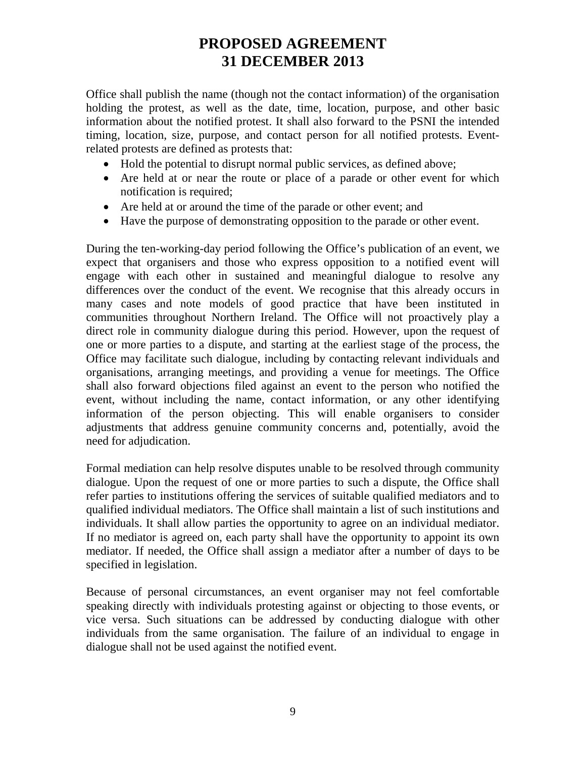Office shall publish the name (though not the contact information) of the organisation holding the protest, as well as the date, time, location, purpose, and other basic information about the notified protest. It shall also forward to the PSNI the intended timing, location, size, purpose, and contact person for all notified protests. Eventrelated protests are defined as protests that:

- Hold the potential to disrupt normal public services, as defined above;
- Are held at or near the route or place of a parade or other event for which notification is required;
- Are held at or around the time of the parade or other event; and
- Have the purpose of demonstrating opposition to the parade or other event.

During the ten-working-day period following the Office's publication of an event, we expect that organisers and those who express opposition to a notified event will engage with each other in sustained and meaningful dialogue to resolve any differences over the conduct of the event. We recognise that this already occurs in many cases and note models of good practice that have been instituted in communities throughout Northern Ireland. The Office will not proactively play a direct role in community dialogue during this period. However, upon the request of one or more parties to a dispute, and starting at the earliest stage of the process, the Office may facilitate such dialogue, including by contacting relevant individuals and organisations, arranging meetings, and providing a venue for meetings. The Office shall also forward objections filed against an event to the person who notified the event, without including the name, contact information, or any other identifying information of the person objecting. This will enable organisers to consider adjustments that address genuine community concerns and, potentially, avoid the need for adjudication.

Formal mediation can help resolve disputes unable to be resolved through community dialogue. Upon the request of one or more parties to such a dispute, the Office shall refer parties to institutions offering the services of suitable qualified mediators and to qualified individual mediators. The Office shall maintain a list of such institutions and individuals. It shall allow parties the opportunity to agree on an individual mediator. If no mediator is agreed on, each party shall have the opportunity to appoint its own mediator. If needed, the Office shall assign a mediator after a number of days to be specified in legislation.

Because of personal circumstances, an event organiser may not feel comfortable speaking directly with individuals protesting against or objecting to those events, or vice versa. Such situations can be addressed by conducting dialogue with other individuals from the same organisation. The failure of an individual to engage in dialogue shall not be used against the notified event.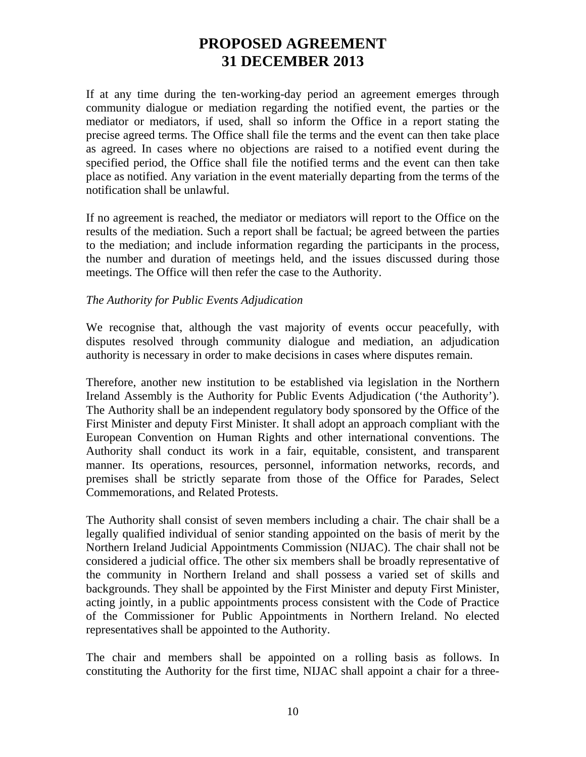If at any time during the ten-working-day period an agreement emerges through community dialogue or mediation regarding the notified event, the parties or the mediator or mediators, if used, shall so inform the Office in a report stating the precise agreed terms. The Office shall file the terms and the event can then take place as agreed. In cases where no objections are raised to a notified event during the specified period, the Office shall file the notified terms and the event can then take place as notified. Any variation in the event materially departing from the terms of the notification shall be unlawful.

If no agreement is reached, the mediator or mediators will report to the Office on the results of the mediation. Such a report shall be factual; be agreed between the parties to the mediation; and include information regarding the participants in the process, the number and duration of meetings held, and the issues discussed during those meetings. The Office will then refer the case to the Authority.

### *The Authority for Public Events Adjudication*

We recognise that, although the vast majority of events occur peacefully, with disputes resolved through community dialogue and mediation, an adjudication authority is necessary in order to make decisions in cases where disputes remain.

Therefore, another new institution to be established via legislation in the Northern Ireland Assembly is the Authority for Public Events Adjudication ('the Authority'). The Authority shall be an independent regulatory body sponsored by the Office of the First Minister and deputy First Minister. It shall adopt an approach compliant with the European Convention on Human Rights and other international conventions. The Authority shall conduct its work in a fair, equitable, consistent, and transparent manner. Its operations, resources, personnel, information networks, records, and premises shall be strictly separate from those of the Office for Parades, Select Commemorations, and Related Protests.

The Authority shall consist of seven members including a chair. The chair shall be a legally qualified individual of senior standing appointed on the basis of merit by the Northern Ireland Judicial Appointments Commission (NIJAC). The chair shall not be considered a judicial office. The other six members shall be broadly representative of the community in Northern Ireland and shall possess a varied set of skills and backgrounds. They shall be appointed by the First Minister and deputy First Minister, acting jointly, in a public appointments process consistent with the Code of Practice of the Commissioner for Public Appointments in Northern Ireland. No elected representatives shall be appointed to the Authority.

The chair and members shall be appointed on a rolling basis as follows. In constituting the Authority for the first time, NIJAC shall appoint a chair for a three-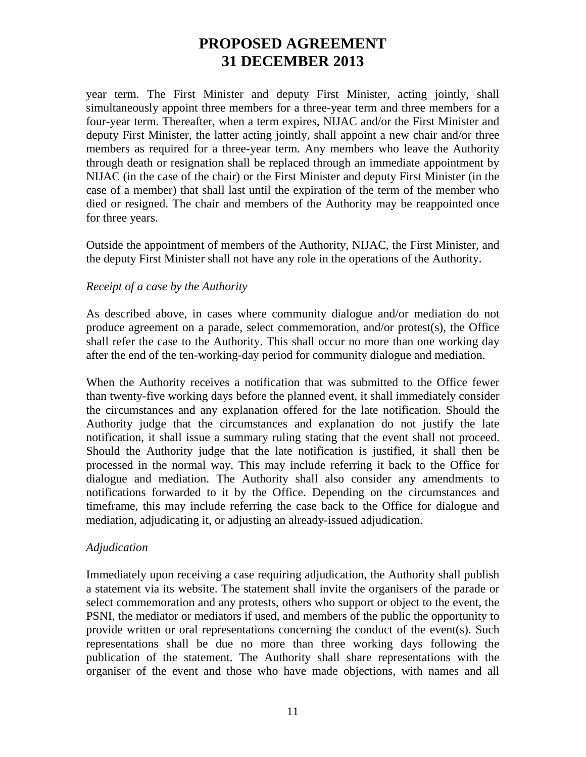year term. The First Minister and deputy First Minister, acting jointly, shall simultaneously appoint three members for a three-year term and three members for a four-year term. Thereafter, when a term expires, NIJAC and/or the First Minister and deputy First Minister, the latter acting jointly, shall appoint a new chair and/or three members as required for a three-year term. Any members who leave the Authority through death or resignation shall be replaced through an immediate appointment by NIJAC (in the case of the chair) or the First Minister and deputy First Minister (in the case of a member) that shall last until the expiration of the term of the member who died or resigned. The chair and members of the Authority may be reappointed once for three years.

Outside the appointment of members of the Authority, NIJAC, the First Minister, and the deputy First Minister shall not have any role in the operations of the Authority.

### *Receipt of a case by the Authority*

As described above, in cases where community dialogue and/or mediation do not produce agreement on a parade, select commemoration, and/or protest(s), the Office shall refer the case to the Authority. This shall occur no more than one working day after the end of the ten-working-day period for community dialogue and mediation.

When the Authority receives a notification that was submitted to the Office fewer than twenty-five working days before the planned event, it shall immediately consider the circumstances and any explanation offered for the late notification. Should the Authority judge that the circumstances and explanation do not justify the late notification, it shall issue a summary ruling stating that the event shall not proceed. Should the Authority judge that the late notification is justified, it shall then be processed in the normal way. This may include referring it back to the Office for dialogue and mediation. The Authority shall also consider any amendments to notifications forwarded to it by the Office. Depending on the circumstances and timeframe, this may include referring the case back to the Office for dialogue and mediation, adjudicating it, or adjusting an already-issued adjudication.

### *Adjudication*

Immediately upon receiving a case requiring adjudication, the Authority shall publish a statement via its website. The statement shall invite the organisers of the parade or select commemoration and any protests, others who support or object to the event, the PSNI, the mediator or mediators if used, and members of the public the opportunity to provide written or oral representations concerning the conduct of the event(s). Such representations shall be due no more than three working days following the publication of the statement. The Authority shall share representations with the organiser of the event and those who have made objections, with names and all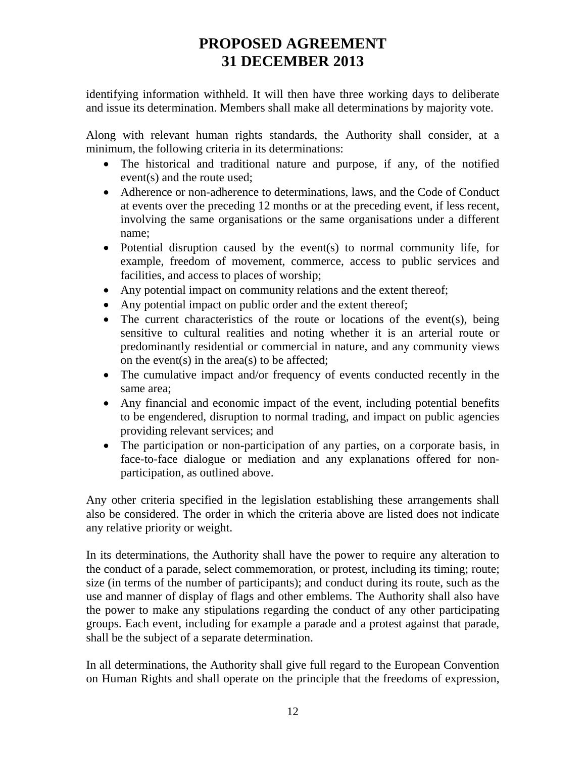identifying information withheld. It will then have three working days to deliberate and issue its determination. Members shall make all determinations by majority vote.

Along with relevant human rights standards, the Authority shall consider, at a minimum, the following criteria in its determinations:

- The historical and traditional nature and purpose, if any, of the notified event(s) and the route used;
- Adherence or non-adherence to determinations, laws, and the Code of Conduct at events over the preceding 12 months or at the preceding event, if less recent, involving the same organisations or the same organisations under a different name;
- Potential disruption caused by the event(s) to normal community life, for example, freedom of movement, commerce, access to public services and facilities, and access to places of worship;
- Any potential impact on community relations and the extent thereof;
- Any potential impact on public order and the extent thereof;
- The current characteristics of the route or locations of the event(s), being sensitive to cultural realities and noting whether it is an arterial route or predominantly residential or commercial in nature, and any community views on the event(s) in the area(s) to be affected;
- The cumulative impact and/or frequency of events conducted recently in the same area;
- Any financial and economic impact of the event, including potential benefits to be engendered, disruption to normal trading, and impact on public agencies providing relevant services; and
- The participation or non-participation of any parties, on a corporate basis, in face-to-face dialogue or mediation and any explanations offered for nonparticipation, as outlined above.

Any other criteria specified in the legislation establishing these arrangements shall also be considered. The order in which the criteria above are listed does not indicate any relative priority or weight.

In its determinations, the Authority shall have the power to require any alteration to the conduct of a parade, select commemoration, or protest, including its timing; route; size (in terms of the number of participants); and conduct during its route, such as the use and manner of display of flags and other emblems. The Authority shall also have the power to make any stipulations regarding the conduct of any other participating groups. Each event, including for example a parade and a protest against that parade, shall be the subject of a separate determination.

In all determinations, the Authority shall give full regard to the European Convention on Human Rights and shall operate on the principle that the freedoms of expression,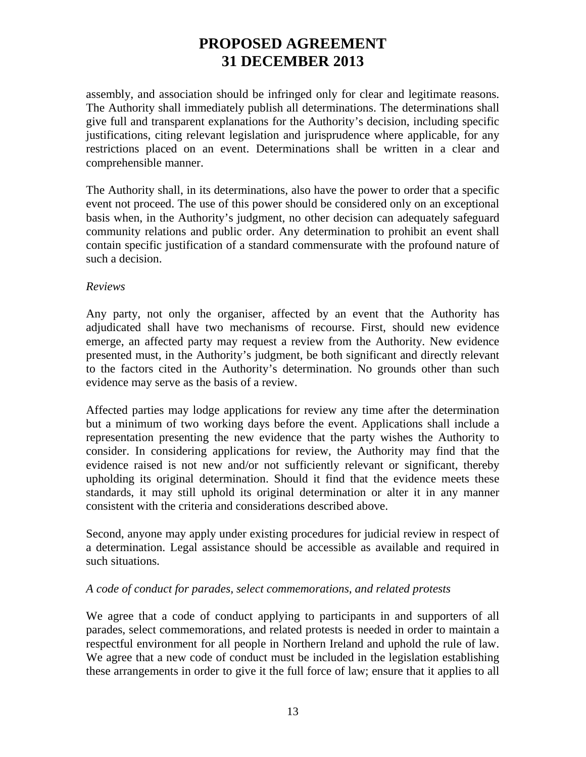assembly, and association should be infringed only for clear and legitimate reasons. The Authority shall immediately publish all determinations. The determinations shall give full and transparent explanations for the Authority's decision, including specific justifications, citing relevant legislation and jurisprudence where applicable, for any restrictions placed on an event. Determinations shall be written in a clear and comprehensible manner.

The Authority shall, in its determinations, also have the power to order that a specific event not proceed. The use of this power should be considered only on an exceptional basis when, in the Authority's judgment, no other decision can adequately safeguard community relations and public order. Any determination to prohibit an event shall contain specific justification of a standard commensurate with the profound nature of such a decision.

### *Reviews*

Any party, not only the organiser, affected by an event that the Authority has adjudicated shall have two mechanisms of recourse. First, should new evidence emerge, an affected party may request a review from the Authority. New evidence presented must, in the Authority's judgment, be both significant and directly relevant to the factors cited in the Authority's determination. No grounds other than such evidence may serve as the basis of a review.

Affected parties may lodge applications for review any time after the determination but a minimum of two working days before the event. Applications shall include a representation presenting the new evidence that the party wishes the Authority to consider. In considering applications for review, the Authority may find that the evidence raised is not new and/or not sufficiently relevant or significant, thereby upholding its original determination. Should it find that the evidence meets these standards, it may still uphold its original determination or alter it in any manner consistent with the criteria and considerations described above.

Second, anyone may apply under existing procedures for judicial review in respect of a determination. Legal assistance should be accessible as available and required in such situations.

### *A code of conduct for parades, select commemorations, and related protests*

We agree that a code of conduct applying to participants in and supporters of all parades, select commemorations, and related protests is needed in order to maintain a respectful environment for all people in Northern Ireland and uphold the rule of law. We agree that a new code of conduct must be included in the legislation establishing these arrangements in order to give it the full force of law; ensure that it applies to all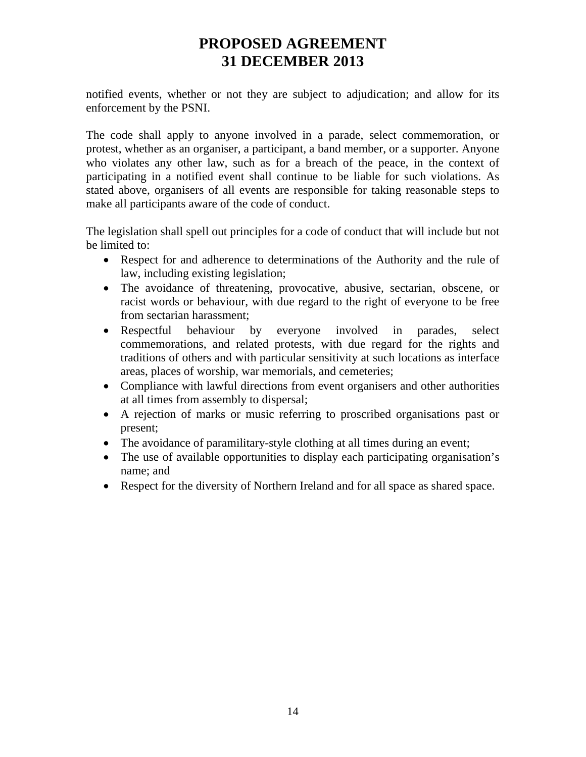notified events, whether or not they are subject to adjudication; and allow for its enforcement by the PSNI.

The code shall apply to anyone involved in a parade, select commemoration, or protest, whether as an organiser, a participant, a band member, or a supporter. Anyone who violates any other law, such as for a breach of the peace, in the context of participating in a notified event shall continue to be liable for such violations. As stated above, organisers of all events are responsible for taking reasonable steps to make all participants aware of the code of conduct.

The legislation shall spell out principles for a code of conduct that will include but not be limited to:

- Respect for and adherence to determinations of the Authority and the rule of law, including existing legislation;
- The avoidance of threatening, provocative, abusive, sectarian, obscene, or racist words or behaviour, with due regard to the right of everyone to be free from sectarian harassment;
- Respectful behaviour by everyone involved in parades, select commemorations, and related protests, with due regard for the rights and traditions of others and with particular sensitivity at such locations as interface areas, places of worship, war memorials, and cemeteries;
- Compliance with lawful directions from event organisers and other authorities at all times from assembly to dispersal;
- A rejection of marks or music referring to proscribed organisations past or present;
- The avoidance of paramilitary-style clothing at all times during an event;
- The use of available opportunities to display each participating organisation's name; and
- Respect for the diversity of Northern Ireland and for all space as shared space.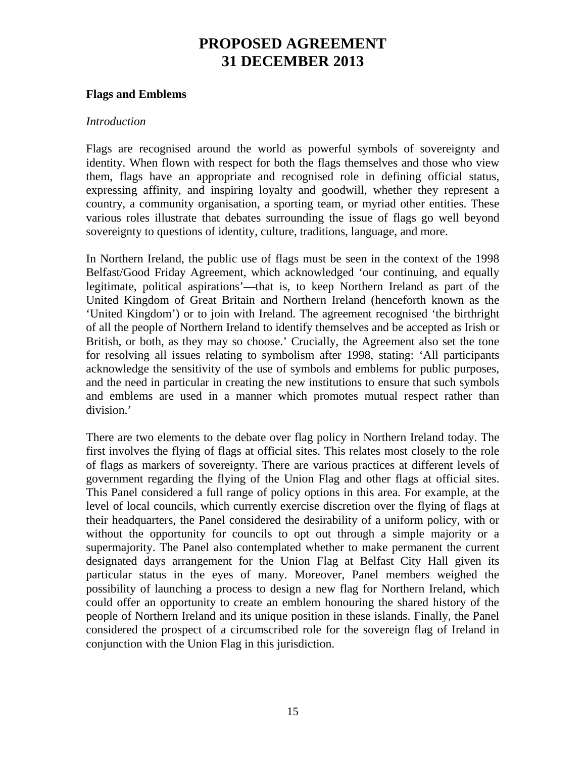#### **Flags and Emblems**

#### *Introduction*

Flags are recognised around the world as powerful symbols of sovereignty and identity. When flown with respect for both the flags themselves and those who view them, flags have an appropriate and recognised role in defining official status, expressing affinity, and inspiring loyalty and goodwill, whether they represent a country, a community organisation, a sporting team, or myriad other entities. These various roles illustrate that debates surrounding the issue of flags go well beyond sovereignty to questions of identity, culture, traditions, language, and more.

In Northern Ireland, the public use of flags must be seen in the context of the 1998 Belfast/Good Friday Agreement, which acknowledged 'our continuing, and equally legitimate, political aspirations'—that is, to keep Northern Ireland as part of the United Kingdom of Great Britain and Northern Ireland (henceforth known as the 'United Kingdom') or to join with Ireland. The agreement recognised 'the birthright of all the people of Northern Ireland to identify themselves and be accepted as Irish or British, or both, as they may so choose.' Crucially, the Agreement also set the tone for resolving all issues relating to symbolism after 1998, stating: 'All participants acknowledge the sensitivity of the use of symbols and emblems for public purposes, and the need in particular in creating the new institutions to ensure that such symbols and emblems are used in a manner which promotes mutual respect rather than division.'

There are two elements to the debate over flag policy in Northern Ireland today. The first involves the flying of flags at official sites. This relates most closely to the role of flags as markers of sovereignty. There are various practices at different levels of government regarding the flying of the Union Flag and other flags at official sites. This Panel considered a full range of policy options in this area. For example, at the level of local councils, which currently exercise discretion over the flying of flags at their headquarters, the Panel considered the desirability of a uniform policy, with or without the opportunity for councils to opt out through a simple majority or a supermajority. The Panel also contemplated whether to make permanent the current designated days arrangement for the Union Flag at Belfast City Hall given its particular status in the eyes of many. Moreover, Panel members weighed the possibility of launching a process to design a new flag for Northern Ireland, which could offer an opportunity to create an emblem honouring the shared history of the people of Northern Ireland and its unique position in these islands. Finally, the Panel considered the prospect of a circumscribed role for the sovereign flag of Ireland in conjunction with the Union Flag in this jurisdiction.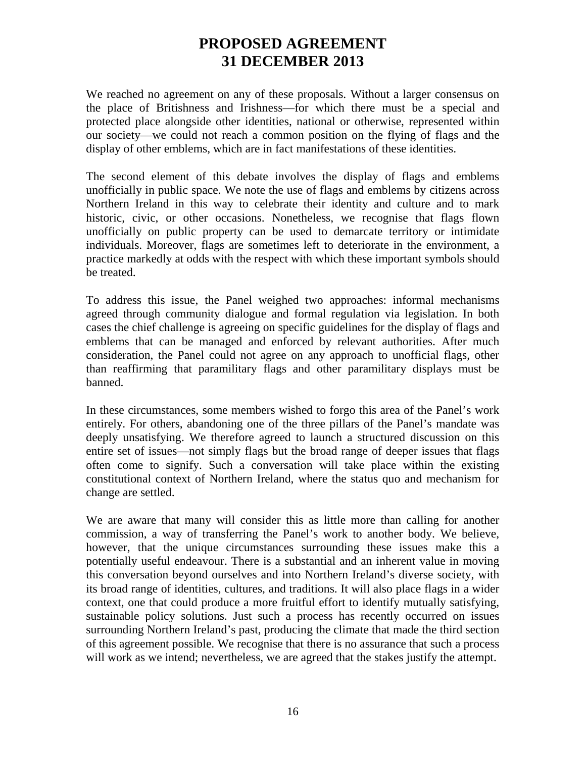We reached no agreement on any of these proposals. Without a larger consensus on the place of Britishness and Irishness—for which there must be a special and protected place alongside other identities, national or otherwise, represented within our society—we could not reach a common position on the flying of flags and the display of other emblems, which are in fact manifestations of these identities.

The second element of this debate involves the display of flags and emblems unofficially in public space. We note the use of flags and emblems by citizens across Northern Ireland in this way to celebrate their identity and culture and to mark historic, civic, or other occasions. Nonetheless, we recognise that flags flown unofficially on public property can be used to demarcate territory or intimidate individuals. Moreover, flags are sometimes left to deteriorate in the environment, a practice markedly at odds with the respect with which these important symbols should be treated.

To address this issue, the Panel weighed two approaches: informal mechanisms agreed through community dialogue and formal regulation via legislation. In both cases the chief challenge is agreeing on specific guidelines for the display of flags and emblems that can be managed and enforced by relevant authorities. After much consideration, the Panel could not agree on any approach to unofficial flags, other than reaffirming that paramilitary flags and other paramilitary displays must be banned.

In these circumstances, some members wished to forgo this area of the Panel's work entirely. For others, abandoning one of the three pillars of the Panel's mandate was deeply unsatisfying. We therefore agreed to launch a structured discussion on this entire set of issues—not simply flags but the broad range of deeper issues that flags often come to signify. Such a conversation will take place within the existing constitutional context of Northern Ireland, where the status quo and mechanism for change are settled.

We are aware that many will consider this as little more than calling for another commission, a way of transferring the Panel's work to another body. We believe, however, that the unique circumstances surrounding these issues make this a potentially useful endeavour. There is a substantial and an inherent value in moving this conversation beyond ourselves and into Northern Ireland's diverse society, with its broad range of identities, cultures, and traditions. It will also place flags in a wider context, one that could produce a more fruitful effort to identify mutually satisfying, sustainable policy solutions. Just such a process has recently occurred on issues surrounding Northern Ireland's past, producing the climate that made the third section of this agreement possible. We recognise that there is no assurance that such a process will work as we intend; nevertheless, we are agreed that the stakes justify the attempt.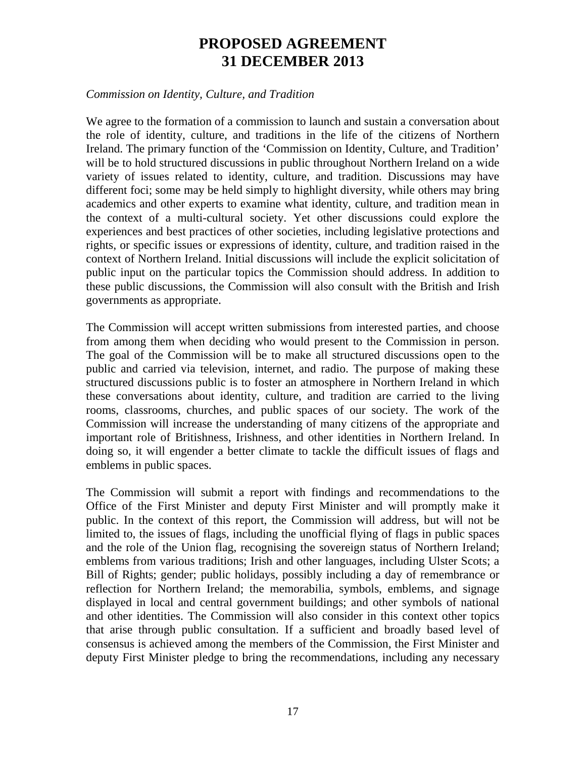#### *Commission on Identity, Culture, and Tradition*

We agree to the formation of a commission to launch and sustain a conversation about the role of identity, culture, and traditions in the life of the citizens of Northern Ireland. The primary function of the 'Commission on Identity, Culture, and Tradition' will be to hold structured discussions in public throughout Northern Ireland on a wide variety of issues related to identity, culture, and tradition. Discussions may have different foci; some may be held simply to highlight diversity, while others may bring academics and other experts to examine what identity, culture, and tradition mean in the context of a multi-cultural society. Yet other discussions could explore the experiences and best practices of other societies, including legislative protections and rights, or specific issues or expressions of identity, culture, and tradition raised in the context of Northern Ireland. Initial discussions will include the explicit solicitation of public input on the particular topics the Commission should address. In addition to these public discussions, the Commission will also consult with the British and Irish governments as appropriate.

The Commission will accept written submissions from interested parties, and choose from among them when deciding who would present to the Commission in person. The goal of the Commission will be to make all structured discussions open to the public and carried via television, internet, and radio. The purpose of making these structured discussions public is to foster an atmosphere in Northern Ireland in which these conversations about identity, culture, and tradition are carried to the living rooms, classrooms, churches, and public spaces of our society. The work of the Commission will increase the understanding of many citizens of the appropriate and important role of Britishness, Irishness, and other identities in Northern Ireland. In doing so, it will engender a better climate to tackle the difficult issues of flags and emblems in public spaces.

The Commission will submit a report with findings and recommendations to the Office of the First Minister and deputy First Minister and will promptly make it public. In the context of this report, the Commission will address, but will not be limited to, the issues of flags, including the unofficial flying of flags in public spaces and the role of the Union flag, recognising the sovereign status of Northern Ireland; emblems from various traditions; Irish and other languages, including Ulster Scots; a Bill of Rights; gender; public holidays, possibly including a day of remembrance or reflection for Northern Ireland; the memorabilia, symbols, emblems, and signage displayed in local and central government buildings; and other symbols of national and other identities. The Commission will also consider in this context other topics that arise through public consultation. If a sufficient and broadly based level of consensus is achieved among the members of the Commission, the First Minister and deputy First Minister pledge to bring the recommendations, including any necessary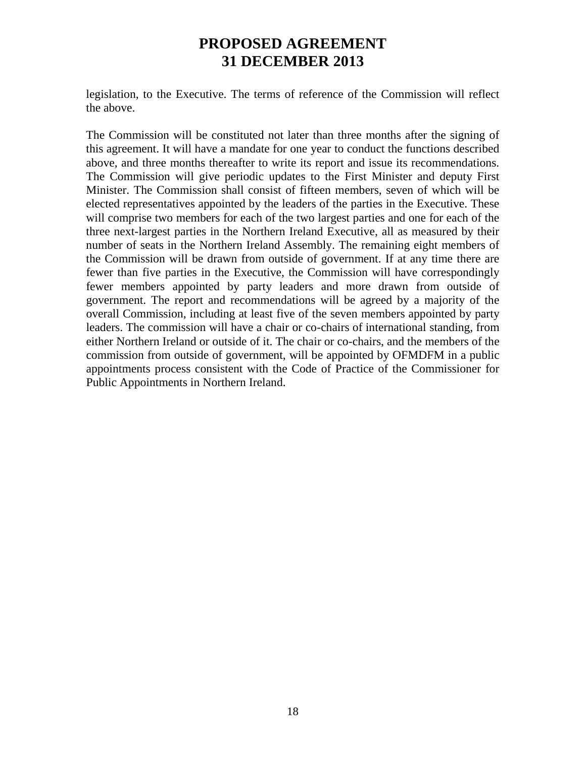legislation, to the Executive. The terms of reference of the Commission will reflect the above.

The Commission will be constituted not later than three months after the signing of this agreement. It will have a mandate for one year to conduct the functions described above, and three months thereafter to write its report and issue its recommendations. The Commission will give periodic updates to the First Minister and deputy First Minister. The Commission shall consist of fifteen members, seven of which will be elected representatives appointed by the leaders of the parties in the Executive. These will comprise two members for each of the two largest parties and one for each of the three next-largest parties in the Northern Ireland Executive, all as measured by their number of seats in the Northern Ireland Assembly. The remaining eight members of the Commission will be drawn from outside of government. If at any time there are fewer than five parties in the Executive, the Commission will have correspondingly fewer members appointed by party leaders and more drawn from outside of government. The report and recommendations will be agreed by a majority of the overall Commission, including at least five of the seven members appointed by party leaders. The commission will have a chair or co-chairs of international standing, from either Northern Ireland or outside of it. The chair or co-chairs, and the members of the commission from outside of government, will be appointed by OFMDFM in a public appointments process consistent with the Code of Practice of the Commissioner for Public Appointments in Northern Ireland.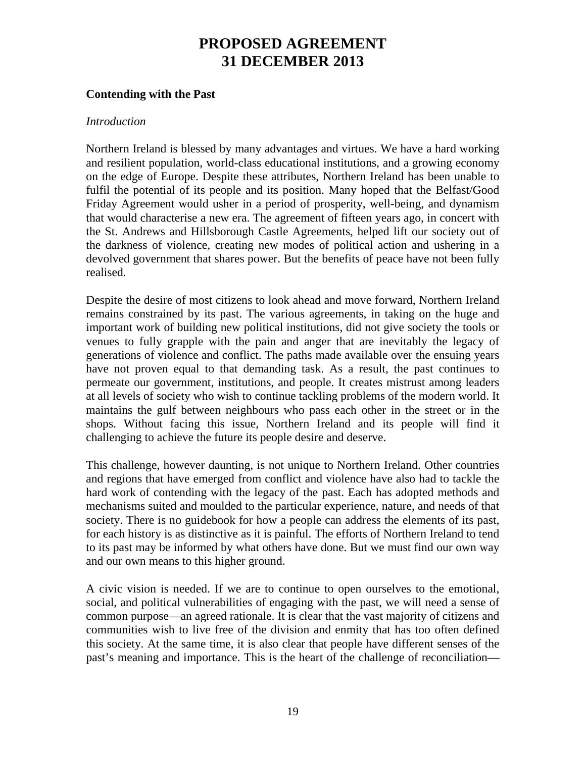### **Contending with the Past**

#### *Introduction*

Northern Ireland is blessed by many advantages and virtues. We have a hard working and resilient population, world-class educational institutions, and a growing economy on the edge of Europe. Despite these attributes, Northern Ireland has been unable to fulfil the potential of its people and its position. Many hoped that the Belfast/Good Friday Agreement would usher in a period of prosperity, well-being, and dynamism that would characterise a new era. The agreement of fifteen years ago, in concert with the St. Andrews and Hillsborough Castle Agreements, helped lift our society out of the darkness of violence, creating new modes of political action and ushering in a devolved government that shares power. But the benefits of peace have not been fully realised.

Despite the desire of most citizens to look ahead and move forward, Northern Ireland remains constrained by its past. The various agreements, in taking on the huge and important work of building new political institutions, did not give society the tools or venues to fully grapple with the pain and anger that are inevitably the legacy of generations of violence and conflict. The paths made available over the ensuing years have not proven equal to that demanding task. As a result, the past continues to permeate our government, institutions, and people. It creates mistrust among leaders at all levels of society who wish to continue tackling problems of the modern world. It maintains the gulf between neighbours who pass each other in the street or in the shops. Without facing this issue, Northern Ireland and its people will find it challenging to achieve the future its people desire and deserve.

This challenge, however daunting, is not unique to Northern Ireland. Other countries and regions that have emerged from conflict and violence have also had to tackle the hard work of contending with the legacy of the past. Each has adopted methods and mechanisms suited and moulded to the particular experience, nature, and needs of that society. There is no guidebook for how a people can address the elements of its past, for each history is as distinctive as it is painful. The efforts of Northern Ireland to tend to its past may be informed by what others have done. But we must find our own way and our own means to this higher ground.

A civic vision is needed. If we are to continue to open ourselves to the emotional, social, and political vulnerabilities of engaging with the past, we will need a sense of common purpose—an agreed rationale. It is clear that the vast majority of citizens and communities wish to live free of the division and enmity that has too often defined this society. At the same time, it is also clear that people have different senses of the past's meaning and importance. This is the heart of the challenge of reconciliation—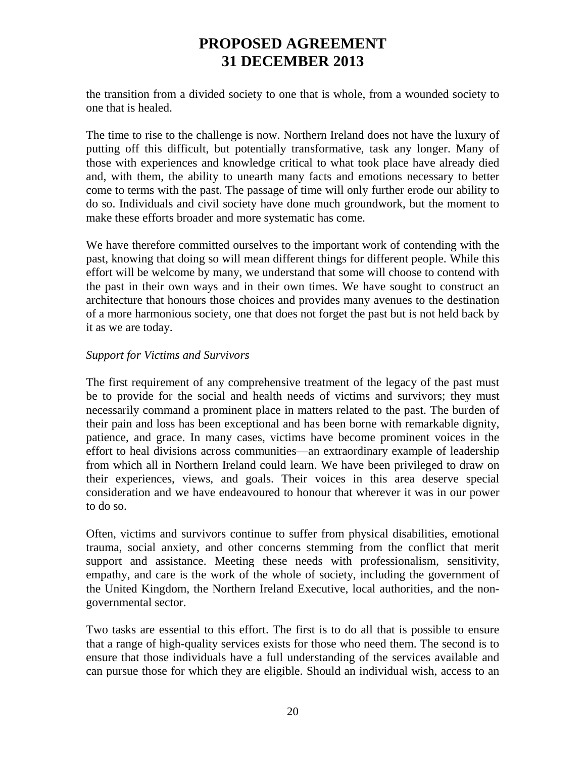the transition from a divided society to one that is whole, from a wounded society to one that is healed.

The time to rise to the challenge is now. Northern Ireland does not have the luxury of putting off this difficult, but potentially transformative, task any longer. Many of those with experiences and knowledge critical to what took place have already died and, with them, the ability to unearth many facts and emotions necessary to better come to terms with the past. The passage of time will only further erode our ability to do so. Individuals and civil society have done much groundwork, but the moment to make these efforts broader and more systematic has come.

We have therefore committed ourselves to the important work of contending with the past, knowing that doing so will mean different things for different people. While this effort will be welcome by many, we understand that some will choose to contend with the past in their own ways and in their own times. We have sought to construct an architecture that honours those choices and provides many avenues to the destination of a more harmonious society, one that does not forget the past but is not held back by it as we are today.

### *Support for Victims and Survivors*

The first requirement of any comprehensive treatment of the legacy of the past must be to provide for the social and health needs of victims and survivors; they must necessarily command a prominent place in matters related to the past. The burden of their pain and loss has been exceptional and has been borne with remarkable dignity, patience, and grace. In many cases, victims have become prominent voices in the effort to heal divisions across communities—an extraordinary example of leadership from which all in Northern Ireland could learn. We have been privileged to draw on their experiences, views, and goals. Their voices in this area deserve special consideration and we have endeavoured to honour that wherever it was in our power to do so.

Often, victims and survivors continue to suffer from physical disabilities, emotional trauma, social anxiety, and other concerns stemming from the conflict that merit support and assistance. Meeting these needs with professionalism, sensitivity, empathy, and care is the work of the whole of society, including the government of the United Kingdom, the Northern Ireland Executive, local authorities, and the nongovernmental sector.

Two tasks are essential to this effort. The first is to do all that is possible to ensure that a range of high-quality services exists for those who need them. The second is to ensure that those individuals have a full understanding of the services available and can pursue those for which they are eligible. Should an individual wish, access to an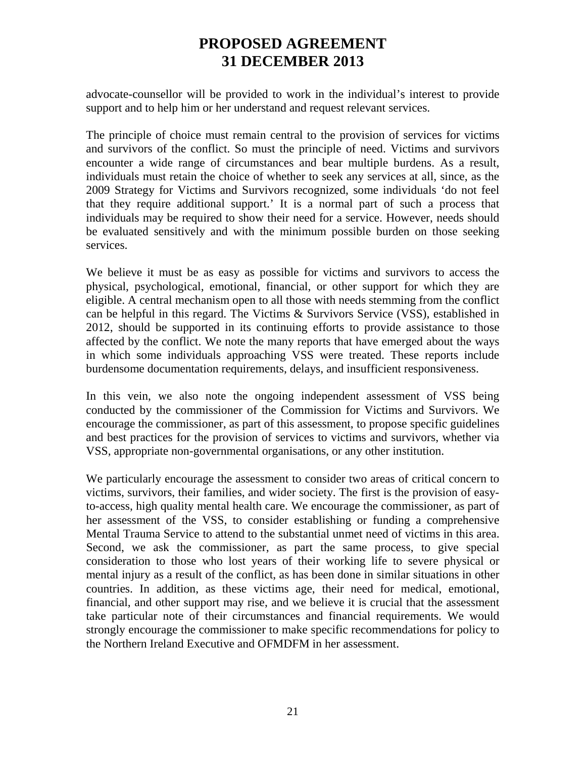advocate-counsellor will be provided to work in the individual's interest to provide support and to help him or her understand and request relevant services.

The principle of choice must remain central to the provision of services for victims and survivors of the conflict. So must the principle of need. Victims and survivors encounter a wide range of circumstances and bear multiple burdens. As a result, individuals must retain the choice of whether to seek any services at all, since, as the 2009 Strategy for Victims and Survivors recognized, some individuals 'do not feel that they require additional support.' It is a normal part of such a process that individuals may be required to show their need for a service. However, needs should be evaluated sensitively and with the minimum possible burden on those seeking services.

We believe it must be as easy as possible for victims and survivors to access the physical, psychological, emotional, financial, or other support for which they are eligible. A central mechanism open to all those with needs stemming from the conflict can be helpful in this regard. The Victims & Survivors Service (VSS), established in 2012, should be supported in its continuing efforts to provide assistance to those affected by the conflict. We note the many reports that have emerged about the ways in which some individuals approaching VSS were treated. These reports include burdensome documentation requirements, delays, and insufficient responsiveness.

In this vein, we also note the ongoing independent assessment of VSS being conducted by the commissioner of the Commission for Victims and Survivors. We encourage the commissioner, as part of this assessment, to propose specific guidelines and best practices for the provision of services to victims and survivors, whether via VSS, appropriate non-governmental organisations, or any other institution.

We particularly encourage the assessment to consider two areas of critical concern to victims, survivors, their families, and wider society. The first is the provision of easyto-access, high quality mental health care. We encourage the commissioner, as part of her assessment of the VSS, to consider establishing or funding a comprehensive Mental Trauma Service to attend to the substantial unmet need of victims in this area. Second, we ask the commissioner, as part the same process, to give special consideration to those who lost years of their working life to severe physical or mental injury as a result of the conflict, as has been done in similar situations in other countries. In addition, as these victims age, their need for medical, emotional, financial, and other support may rise, and we believe it is crucial that the assessment take particular note of their circumstances and financial requirements. We would strongly encourage the commissioner to make specific recommendations for policy to the Northern Ireland Executive and OFMDFM in her assessment.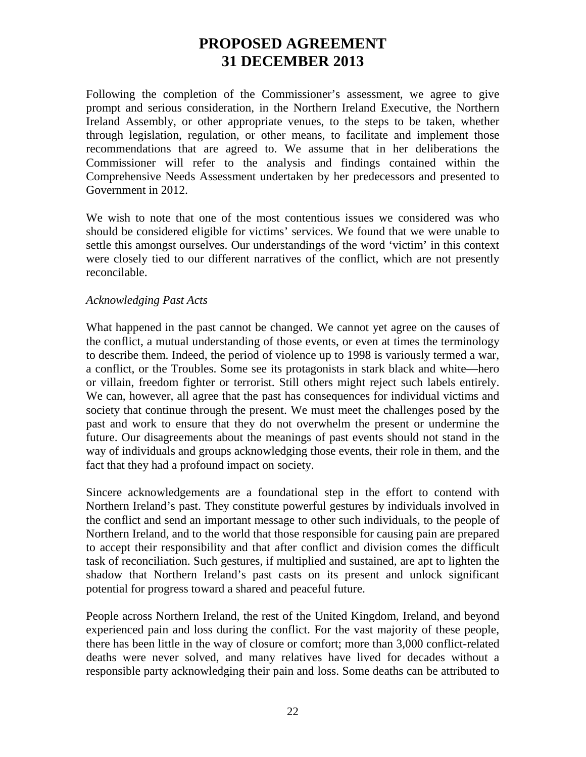Following the completion of the Commissioner's assessment, we agree to give prompt and serious consideration, in the Northern Ireland Executive, the Northern Ireland Assembly, or other appropriate venues, to the steps to be taken, whether through legislation, regulation, or other means, to facilitate and implement those recommendations that are agreed to. We assume that in her deliberations the Commissioner will refer to the analysis and findings contained within the Comprehensive Needs Assessment undertaken by her predecessors and presented to Government in 2012.

We wish to note that one of the most contentious issues we considered was who should be considered eligible for victims' services. We found that we were unable to settle this amongst ourselves. Our understandings of the word 'victim' in this context were closely tied to our different narratives of the conflict, which are not presently reconcilable.

#### *Acknowledging Past Acts*

What happened in the past cannot be changed. We cannot yet agree on the causes of the conflict, a mutual understanding of those events, or even at times the terminology to describe them. Indeed, the period of violence up to 1998 is variously termed a war, a conflict, or the Troubles. Some see its protagonists in stark black and white—hero or villain, freedom fighter or terrorist. Still others might reject such labels entirely. We can, however, all agree that the past has consequences for individual victims and society that continue through the present. We must meet the challenges posed by the past and work to ensure that they do not overwhelm the present or undermine the future. Our disagreements about the meanings of past events should not stand in the way of individuals and groups acknowledging those events, their role in them, and the fact that they had a profound impact on society.

Sincere acknowledgements are a foundational step in the effort to contend with Northern Ireland's past. They constitute powerful gestures by individuals involved in the conflict and send an important message to other such individuals, to the people of Northern Ireland, and to the world that those responsible for causing pain are prepared to accept their responsibility and that after conflict and division comes the difficult task of reconciliation. Such gestures, if multiplied and sustained, are apt to lighten the shadow that Northern Ireland's past casts on its present and unlock significant potential for progress toward a shared and peaceful future.

People across Northern Ireland, the rest of the United Kingdom, Ireland, and beyond experienced pain and loss during the conflict. For the vast majority of these people, there has been little in the way of closure or comfort; more than 3,000 conflict-related deaths were never solved, and many relatives have lived for decades without a responsible party acknowledging their pain and loss. Some deaths can be attributed to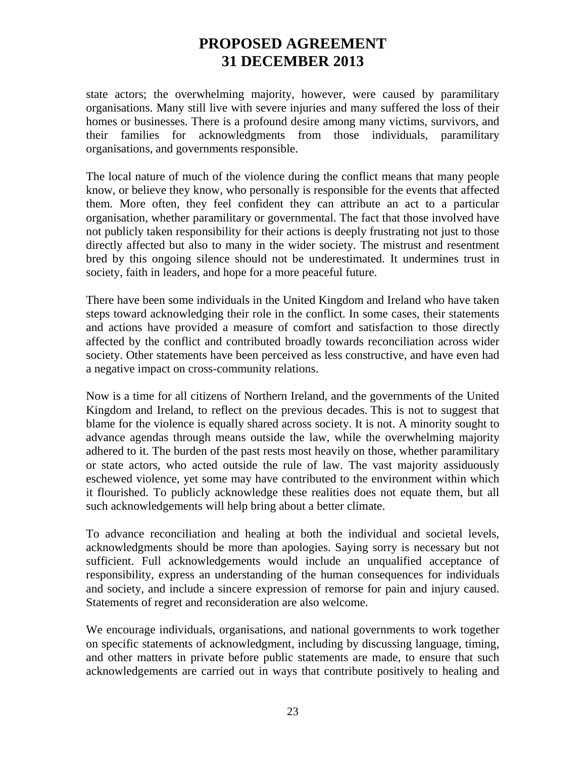state actors; the overwhelming majority, however, were caused by paramilitary organisations. Many still live with severe injuries and many suffered the loss of their homes or businesses. There is a profound desire among many victims, survivors, and their families for acknowledgments from those individuals, paramilitary organisations, and governments responsible.

The local nature of much of the violence during the conflict means that many people know, or believe they know, who personally is responsible for the events that affected them. More often, they feel confident they can attribute an act to a particular organisation, whether paramilitary or governmental. The fact that those involved have not publicly taken responsibility for their actions is deeply frustrating not just to those directly affected but also to many in the wider society. The mistrust and resentment bred by this ongoing silence should not be underestimated. It undermines trust in society, faith in leaders, and hope for a more peaceful future.

There have been some individuals in the United Kingdom and Ireland who have taken steps toward acknowledging their role in the conflict. In some cases, their statements and actions have provided a measure of comfort and satisfaction to those directly affected by the conflict and contributed broadly towards reconciliation across wider society. Other statements have been perceived as less constructive, and have even had a negative impact on cross-community relations.

Now is a time for all citizens of Northern Ireland, and the governments of the United Kingdom and Ireland, to reflect on the previous decades. This is not to suggest that blame for the violence is equally shared across society. It is not. A minority sought to advance agendas through means outside the law, while the overwhelming majority adhered to it. The burden of the past rests most heavily on those, whether paramilitary or state actors, who acted outside the rule of law. The vast majority assiduously eschewed violence, yet some may have contributed to the environment within which it flourished. To publicly acknowledge these realities does not equate them, but all such acknowledgements will help bring about a better climate.

To advance reconciliation and healing at both the individual and societal levels, acknowledgments should be more than apologies. Saying sorry is necessary but not sufficient. Full acknowledgements would include an unqualified acceptance of responsibility, express an understanding of the human consequences for individuals and society, and include a sincere expression of remorse for pain and injury caused. Statements of regret and reconsideration are also welcome.

We encourage individuals, organisations, and national governments to work together on specific statements of acknowledgment, including by discussing language, timing, and other matters in private before public statements are made, to ensure that such acknowledgements are carried out in ways that contribute positively to healing and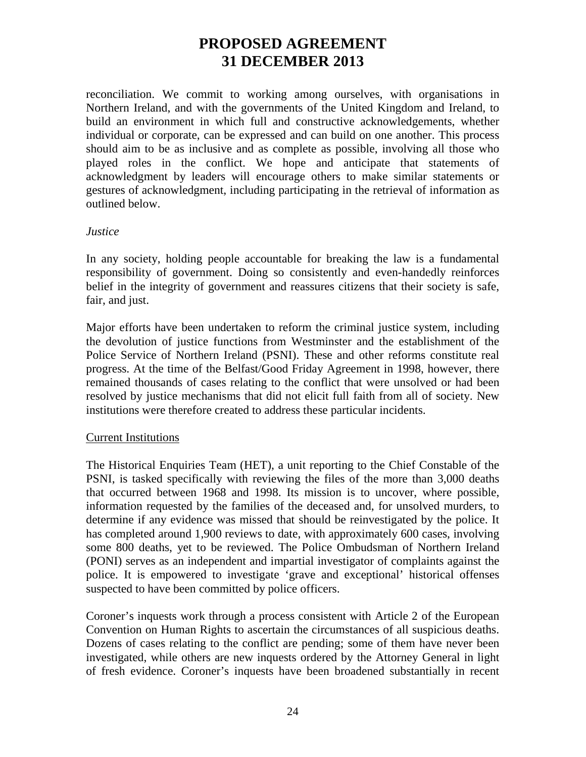reconciliation. We commit to working among ourselves, with organisations in Northern Ireland, and with the governments of the United Kingdom and Ireland, to build an environment in which full and constructive acknowledgements, whether individual or corporate, can be expressed and can build on one another. This process should aim to be as inclusive and as complete as possible, involving all those who played roles in the conflict. We hope and anticipate that statements of acknowledgment by leaders will encourage others to make similar statements or gestures of acknowledgment, including participating in the retrieval of information as outlined below.

#### *Justice*

In any society, holding people accountable for breaking the law is a fundamental responsibility of government. Doing so consistently and even-handedly reinforces belief in the integrity of government and reassures citizens that their society is safe, fair, and just.

Major efforts have been undertaken to reform the criminal justice system, including the devolution of justice functions from Westminster and the establishment of the Police Service of Northern Ireland (PSNI). These and other reforms constitute real progress. At the time of the Belfast/Good Friday Agreement in 1998, however, there remained thousands of cases relating to the conflict that were unsolved or had been resolved by justice mechanisms that did not elicit full faith from all of society. New institutions were therefore created to address these particular incidents.

### Current Institutions

The Historical Enquiries Team (HET), a unit reporting to the Chief Constable of the PSNI, is tasked specifically with reviewing the files of the more than 3,000 deaths that occurred between 1968 and 1998. Its mission is to uncover, where possible, information requested by the families of the deceased and, for unsolved murders, to determine if any evidence was missed that should be reinvestigated by the police. It has completed around 1,900 reviews to date, with approximately 600 cases, involving some 800 deaths, yet to be reviewed. The Police Ombudsman of Northern Ireland (PONI) serves as an independent and impartial investigator of complaints against the police. It is empowered to investigate 'grave and exceptional' historical offenses suspected to have been committed by police officers.

Coroner's inquests work through a process consistent with Article 2 of the European Convention on Human Rights to ascertain the circumstances of all suspicious deaths. Dozens of cases relating to the conflict are pending; some of them have never been investigated, while others are new inquests ordered by the Attorney General in light of fresh evidence. Coroner's inquests have been broadened substantially in recent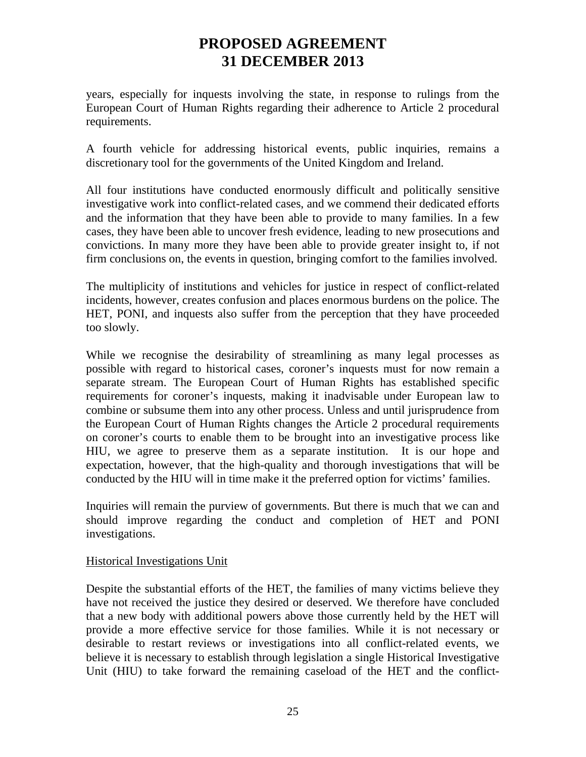years, especially for inquests involving the state, in response to rulings from the European Court of Human Rights regarding their adherence to Article 2 procedural requirements.

A fourth vehicle for addressing historical events, public inquiries, remains a discretionary tool for the governments of the United Kingdom and Ireland.

All four institutions have conducted enormously difficult and politically sensitive investigative work into conflict-related cases, and we commend their dedicated efforts and the information that they have been able to provide to many families. In a few cases, they have been able to uncover fresh evidence, leading to new prosecutions and convictions. In many more they have been able to provide greater insight to, if not firm conclusions on, the events in question, bringing comfort to the families involved.

The multiplicity of institutions and vehicles for justice in respect of conflict-related incidents, however, creates confusion and places enormous burdens on the police. The HET, PONI, and inquests also suffer from the perception that they have proceeded too slowly.

While we recognise the desirability of streamlining as many legal processes as possible with regard to historical cases, coroner's inquests must for now remain a separate stream. The European Court of Human Rights has established specific requirements for coroner's inquests, making it inadvisable under European law to combine or subsume them into any other process. Unless and until jurisprudence from the European Court of Human Rights changes the Article 2 procedural requirements on coroner's courts to enable them to be brought into an investigative process like HIU, we agree to preserve them as a separate institution. It is our hope and expectation, however, that the high-quality and thorough investigations that will be conducted by the HIU will in time make it the preferred option for victims' families.

Inquiries will remain the purview of governments. But there is much that we can and should improve regarding the conduct and completion of HET and PONI investigations.

### Historical Investigations Unit

Despite the substantial efforts of the HET, the families of many victims believe they have not received the justice they desired or deserved. We therefore have concluded that a new body with additional powers above those currently held by the HET will provide a more effective service for those families. While it is not necessary or desirable to restart reviews or investigations into all conflict-related events, we believe it is necessary to establish through legislation a single Historical Investigative Unit (HIU) to take forward the remaining caseload of the HET and the conflict-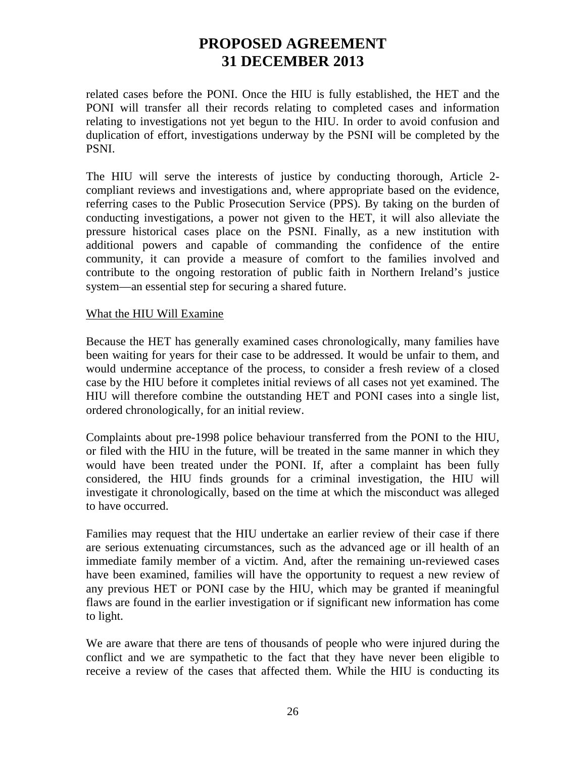related cases before the PONI. Once the HIU is fully established, the HET and the PONI will transfer all their records relating to completed cases and information relating to investigations not yet begun to the HIU. In order to avoid confusion and duplication of effort, investigations underway by the PSNI will be completed by the PSNI.

The HIU will serve the interests of justice by conducting thorough, Article 2 compliant reviews and investigations and, where appropriate based on the evidence, referring cases to the Public Prosecution Service (PPS). By taking on the burden of conducting investigations, a power not given to the HET, it will also alleviate the pressure historical cases place on the PSNI. Finally, as a new institution with additional powers and capable of commanding the confidence of the entire community, it can provide a measure of comfort to the families involved and contribute to the ongoing restoration of public faith in Northern Ireland's justice system—an essential step for securing a shared future.

#### What the HIU Will Examine

Because the HET has generally examined cases chronologically, many families have been waiting for years for their case to be addressed. It would be unfair to them, and would undermine acceptance of the process, to consider a fresh review of a closed case by the HIU before it completes initial reviews of all cases not yet examined. The HIU will therefore combine the outstanding HET and PONI cases into a single list, ordered chronologically, for an initial review.

Complaints about pre-1998 police behaviour transferred from the PONI to the HIU, or filed with the HIU in the future, will be treated in the same manner in which they would have been treated under the PONI. If, after a complaint has been fully considered, the HIU finds grounds for a criminal investigation, the HIU will investigate it chronologically, based on the time at which the misconduct was alleged to have occurred.

Families may request that the HIU undertake an earlier review of their case if there are serious extenuating circumstances, such as the advanced age or ill health of an immediate family member of a victim. And, after the remaining un-reviewed cases have been examined, families will have the opportunity to request a new review of any previous HET or PONI case by the HIU, which may be granted if meaningful flaws are found in the earlier investigation or if significant new information has come to light.

We are aware that there are tens of thousands of people who were injured during the conflict and we are sympathetic to the fact that they have never been eligible to receive a review of the cases that affected them. While the HIU is conducting its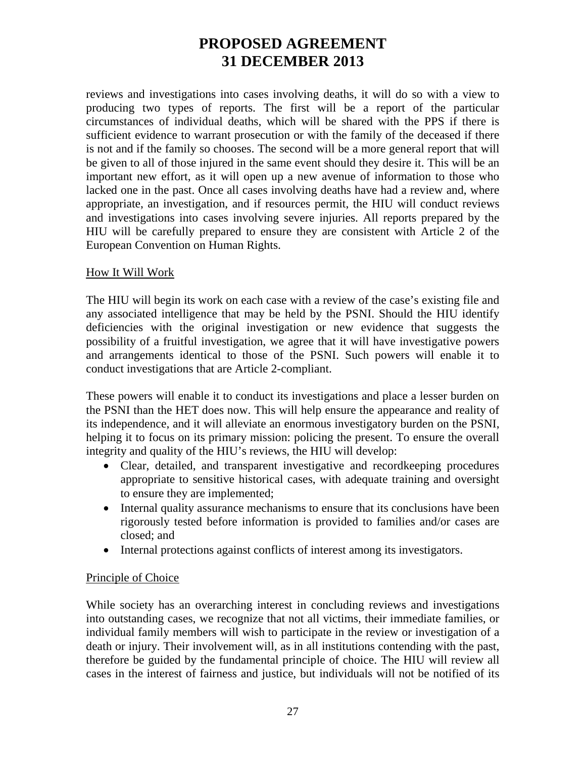reviews and investigations into cases involving deaths, it will do so with a view to producing two types of reports. The first will be a report of the particular circumstances of individual deaths, which will be shared with the PPS if there is sufficient evidence to warrant prosecution or with the family of the deceased if there is not and if the family so chooses. The second will be a more general report that will be given to all of those injured in the same event should they desire it. This will be an important new effort, as it will open up a new avenue of information to those who lacked one in the past. Once all cases involving deaths have had a review and, where appropriate, an investigation, and if resources permit, the HIU will conduct reviews and investigations into cases involving severe injuries. All reports prepared by the HIU will be carefully prepared to ensure they are consistent with Article 2 of the European Convention on Human Rights.

### How It Will Work

The HIU will begin its work on each case with a review of the case's existing file and any associated intelligence that may be held by the PSNI. Should the HIU identify deficiencies with the original investigation or new evidence that suggests the possibility of a fruitful investigation, we agree that it will have investigative powers and arrangements identical to those of the PSNI. Such powers will enable it to conduct investigations that are Article 2-compliant.

These powers will enable it to conduct its investigations and place a lesser burden on the PSNI than the HET does now. This will help ensure the appearance and reality of its independence, and it will alleviate an enormous investigatory burden on the PSNI, helping it to focus on its primary mission: policing the present. To ensure the overall integrity and quality of the HIU's reviews, the HIU will develop:

- Clear, detailed, and transparent investigative and recordkeeping procedures appropriate to sensitive historical cases, with adequate training and oversight to ensure they are implemented;
- Internal quality assurance mechanisms to ensure that its conclusions have been rigorously tested before information is provided to families and/or cases are closed; and
- Internal protections against conflicts of interest among its investigators.

### Principle of Choice

While society has an overarching interest in concluding reviews and investigations into outstanding cases, we recognize that not all victims, their immediate families, or individual family members will wish to participate in the review or investigation of a death or injury. Their involvement will, as in all institutions contending with the past, therefore be guided by the fundamental principle of choice. The HIU will review all cases in the interest of fairness and justice, but individuals will not be notified of its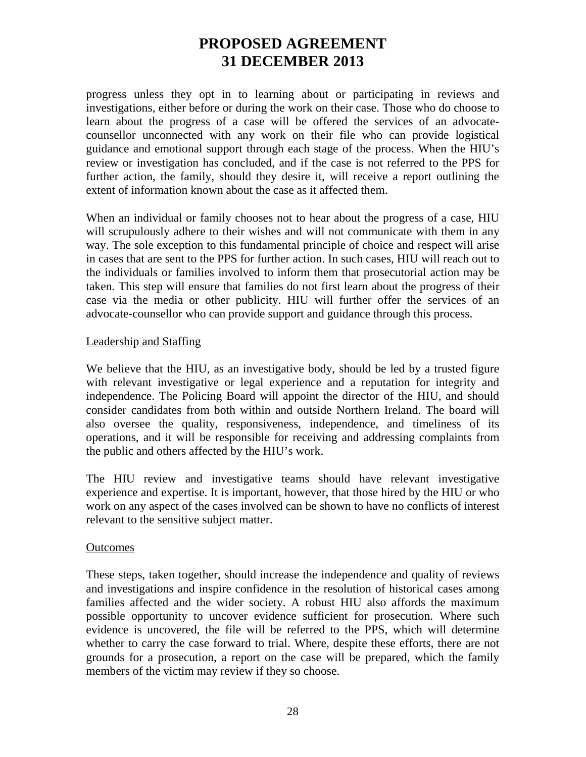progress unless they opt in to learning about or participating in reviews and investigations, either before or during the work on their case. Those who do choose to learn about the progress of a case will be offered the services of an advocatecounsellor unconnected with any work on their file who can provide logistical guidance and emotional support through each stage of the process. When the HIU's review or investigation has concluded, and if the case is not referred to the PPS for further action, the family, should they desire it, will receive a report outlining the extent of information known about the case as it affected them.

When an individual or family chooses not to hear about the progress of a case, HIU will scrupulously adhere to their wishes and will not communicate with them in any way. The sole exception to this fundamental principle of choice and respect will arise in cases that are sent to the PPS for further action. In such cases, HIU will reach out to the individuals or families involved to inform them that prosecutorial action may be taken. This step will ensure that families do not first learn about the progress of their case via the media or other publicity. HIU will further offer the services of an advocate-counsellor who can provide support and guidance through this process.

### Leadership and Staffing

We believe that the HIU, as an investigative body, should be led by a trusted figure with relevant investigative or legal experience and a reputation for integrity and independence. The Policing Board will appoint the director of the HIU, and should consider candidates from both within and outside Northern Ireland. The board will also oversee the quality, responsiveness, independence, and timeliness of its operations, and it will be responsible for receiving and addressing complaints from the public and others affected by the HIU's work.

The HIU review and investigative teams should have relevant investigative experience and expertise. It is important, however, that those hired by the HIU or who work on any aspect of the cases involved can be shown to have no conflicts of interest relevant to the sensitive subject matter.

#### **Outcomes**

These steps, taken together, should increase the independence and quality of reviews and investigations and inspire confidence in the resolution of historical cases among families affected and the wider society. A robust HIU also affords the maximum possible opportunity to uncover evidence sufficient for prosecution. Where such evidence is uncovered, the file will be referred to the PPS, which will determine whether to carry the case forward to trial. Where, despite these efforts, there are not grounds for a prosecution, a report on the case will be prepared, which the family members of the victim may review if they so choose.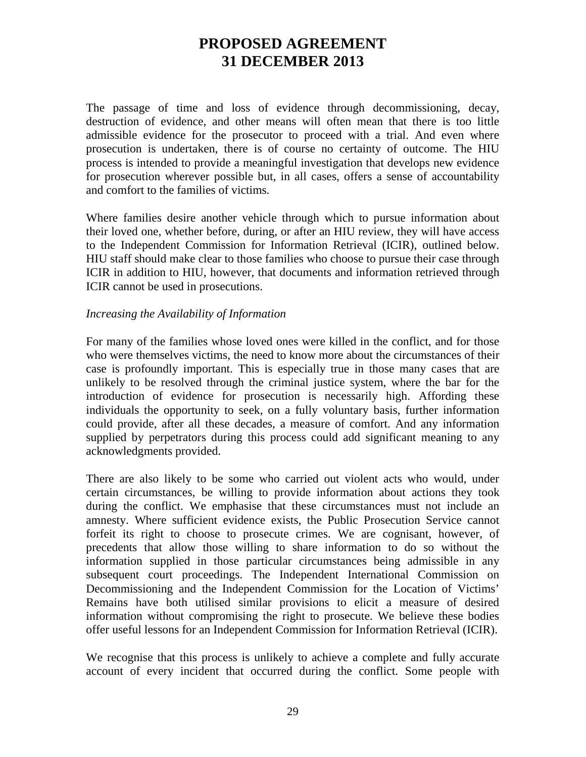The passage of time and loss of evidence through decommissioning, decay, destruction of evidence, and other means will often mean that there is too little admissible evidence for the prosecutor to proceed with a trial. And even where prosecution is undertaken, there is of course no certainty of outcome. The HIU process is intended to provide a meaningful investigation that develops new evidence for prosecution wherever possible but, in all cases, offers a sense of accountability and comfort to the families of victims.

Where families desire another vehicle through which to pursue information about their loved one, whether before, during, or after an HIU review, they will have access to the Independent Commission for Information Retrieval (ICIR), outlined below. HIU staff should make clear to those families who choose to pursue their case through ICIR in addition to HIU, however, that documents and information retrieved through ICIR cannot be used in prosecutions.

#### *Increasing the Availability of Information*

For many of the families whose loved ones were killed in the conflict, and for those who were themselves victims, the need to know more about the circumstances of their case is profoundly important. This is especially true in those many cases that are unlikely to be resolved through the criminal justice system, where the bar for the introduction of evidence for prosecution is necessarily high. Affording these individuals the opportunity to seek, on a fully voluntary basis, further information could provide, after all these decades, a measure of comfort. And any information supplied by perpetrators during this process could add significant meaning to any acknowledgments provided.

There are also likely to be some who carried out violent acts who would, under certain circumstances, be willing to provide information about actions they took during the conflict. We emphasise that these circumstances must not include an amnesty. Where sufficient evidence exists, the Public Prosecution Service cannot forfeit its right to choose to prosecute crimes. We are cognisant, however, of precedents that allow those willing to share information to do so without the information supplied in those particular circumstances being admissible in any subsequent court proceedings. The Independent International Commission on Decommissioning and the Independent Commission for the Location of Victims' Remains have both utilised similar provisions to elicit a measure of desired information without compromising the right to prosecute. We believe these bodies offer useful lessons for an Independent Commission for Information Retrieval (ICIR).

We recognise that this process is unlikely to achieve a complete and fully accurate account of every incident that occurred during the conflict. Some people with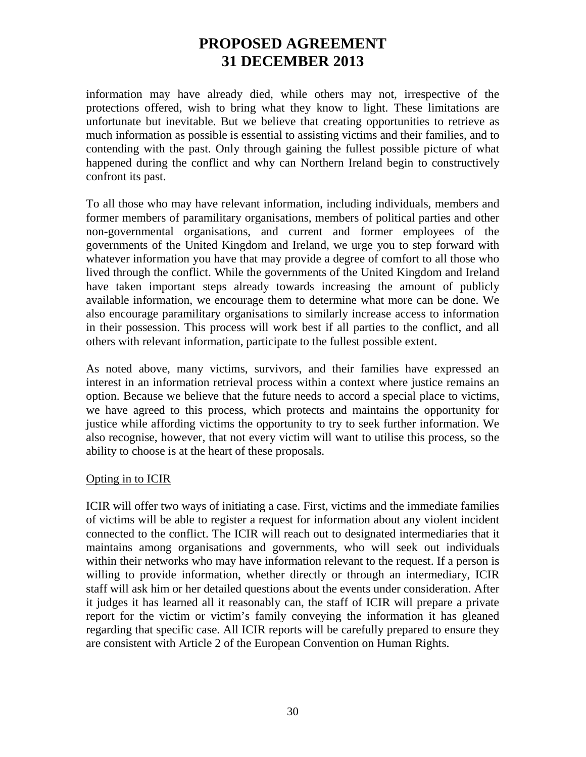information may have already died, while others may not, irrespective of the protections offered, wish to bring what they know to light. These limitations are unfortunate but inevitable. But we believe that creating opportunities to retrieve as much information as possible is essential to assisting victims and their families, and to contending with the past. Only through gaining the fullest possible picture of what happened during the conflict and why can Northern Ireland begin to constructively confront its past.

To all those who may have relevant information, including individuals, members and former members of paramilitary organisations, members of political parties and other non-governmental organisations, and current and former employees of the governments of the United Kingdom and Ireland, we urge you to step forward with whatever information you have that may provide a degree of comfort to all those who lived through the conflict. While the governments of the United Kingdom and Ireland have taken important steps already towards increasing the amount of publicly available information, we encourage them to determine what more can be done. We also encourage paramilitary organisations to similarly increase access to information in their possession. This process will work best if all parties to the conflict, and all others with relevant information, participate to the fullest possible extent.

As noted above, many victims, survivors, and their families have expressed an interest in an information retrieval process within a context where justice remains an option. Because we believe that the future needs to accord a special place to victims, we have agreed to this process, which protects and maintains the opportunity for justice while affording victims the opportunity to try to seek further information. We also recognise, however, that not every victim will want to utilise this process, so the ability to choose is at the heart of these proposals.

### Opting in to ICIR

ICIR will offer two ways of initiating a case. First, victims and the immediate families of victims will be able to register a request for information about any violent incident connected to the conflict. The ICIR will reach out to designated intermediaries that it maintains among organisations and governments, who will seek out individuals within their networks who may have information relevant to the request. If a person is willing to provide information, whether directly or through an intermediary, ICIR staff will ask him or her detailed questions about the events under consideration. After it judges it has learned all it reasonably can, the staff of ICIR will prepare a private report for the victim or victim's family conveying the information it has gleaned regarding that specific case. All ICIR reports will be carefully prepared to ensure they are consistent with Article 2 of the European Convention on Human Rights.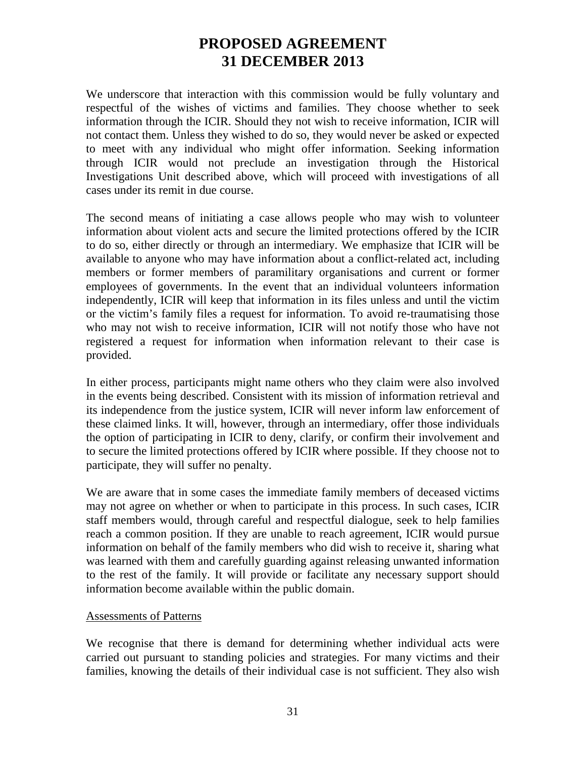We underscore that interaction with this commission would be fully voluntary and respectful of the wishes of victims and families. They choose whether to seek information through the ICIR. Should they not wish to receive information, ICIR will not contact them. Unless they wished to do so, they would never be asked or expected to meet with any individual who might offer information. Seeking information through ICIR would not preclude an investigation through the Historical Investigations Unit described above, which will proceed with investigations of all cases under its remit in due course.

The second means of initiating a case allows people who may wish to volunteer information about violent acts and secure the limited protections offered by the ICIR to do so, either directly or through an intermediary. We emphasize that ICIR will be available to anyone who may have information about a conflict-related act, including members or former members of paramilitary organisations and current or former employees of governments. In the event that an individual volunteers information independently, ICIR will keep that information in its files unless and until the victim or the victim's family files a request for information. To avoid re-traumatising those who may not wish to receive information, ICIR will not notify those who have not registered a request for information when information relevant to their case is provided.

In either process, participants might name others who they claim were also involved in the events being described. Consistent with its mission of information retrieval and its independence from the justice system, ICIR will never inform law enforcement of these claimed links. It will, however, through an intermediary, offer those individuals the option of participating in ICIR to deny, clarify, or confirm their involvement and to secure the limited protections offered by ICIR where possible. If they choose not to participate, they will suffer no penalty.

We are aware that in some cases the immediate family members of deceased victims may not agree on whether or when to participate in this process. In such cases, ICIR staff members would, through careful and respectful dialogue, seek to help families reach a common position. If they are unable to reach agreement, ICIR would pursue information on behalf of the family members who did wish to receive it, sharing what was learned with them and carefully guarding against releasing unwanted information to the rest of the family. It will provide or facilitate any necessary support should information become available within the public domain.

#### Assessments of Patterns

We recognise that there is demand for determining whether individual acts were carried out pursuant to standing policies and strategies. For many victims and their families, knowing the details of their individual case is not sufficient. They also wish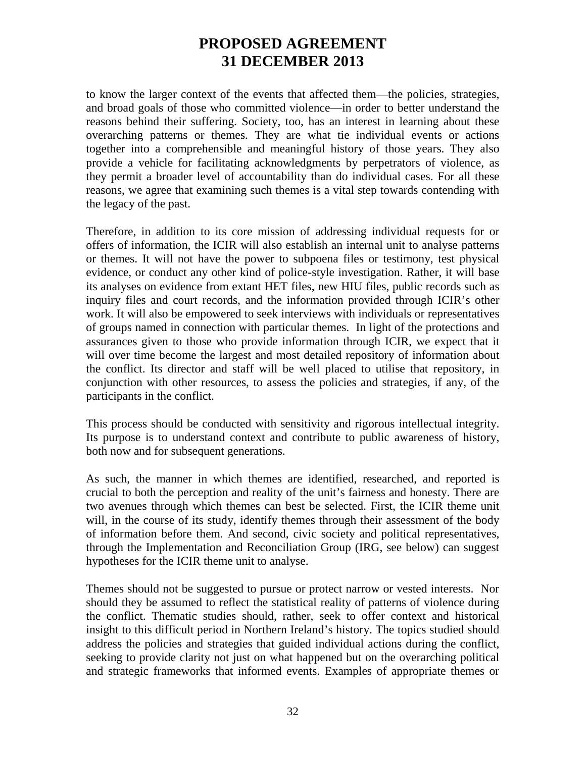to know the larger context of the events that affected them—the policies, strategies, and broad goals of those who committed violence—in order to better understand the reasons behind their suffering. Society, too, has an interest in learning about these overarching patterns or themes. They are what tie individual events or actions together into a comprehensible and meaningful history of those years. They also provide a vehicle for facilitating acknowledgments by perpetrators of violence, as they permit a broader level of accountability than do individual cases. For all these reasons, we agree that examining such themes is a vital step towards contending with the legacy of the past.

Therefore, in addition to its core mission of addressing individual requests for or offers of information, the ICIR will also establish an internal unit to analyse patterns or themes. It will not have the power to subpoena files or testimony, test physical evidence, or conduct any other kind of police-style investigation. Rather, it will base its analyses on evidence from extant HET files, new HIU files, public records such as inquiry files and court records, and the information provided through ICIR's other work. It will also be empowered to seek interviews with individuals or representatives of groups named in connection with particular themes. In light of the protections and assurances given to those who provide information through ICIR, we expect that it will over time become the largest and most detailed repository of information about the conflict. Its director and staff will be well placed to utilise that repository, in conjunction with other resources, to assess the policies and strategies, if any, of the participants in the conflict.

This process should be conducted with sensitivity and rigorous intellectual integrity. Its purpose is to understand context and contribute to public awareness of history, both now and for subsequent generations.

As such, the manner in which themes are identified, researched, and reported is crucial to both the perception and reality of the unit's fairness and honesty. There are two avenues through which themes can best be selected. First, the ICIR theme unit will, in the course of its study, identify themes through their assessment of the body of information before them. And second, civic society and political representatives, through the Implementation and Reconciliation Group (IRG, see below) can suggest hypotheses for the ICIR theme unit to analyse.

Themes should not be suggested to pursue or protect narrow or vested interests. Nor should they be assumed to reflect the statistical reality of patterns of violence during the conflict. Thematic studies should, rather, seek to offer context and historical insight to this difficult period in Northern Ireland's history. The topics studied should address the policies and strategies that guided individual actions during the conflict, seeking to provide clarity not just on what happened but on the overarching political and strategic frameworks that informed events. Examples of appropriate themes or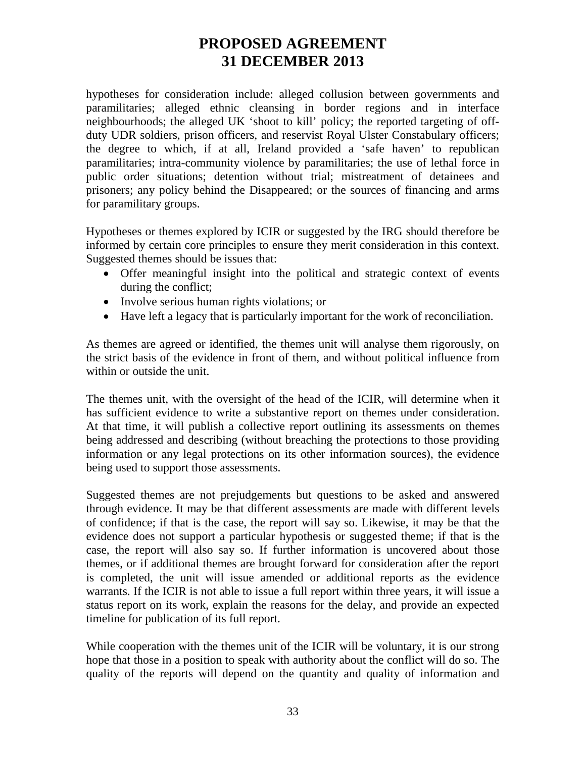hypotheses for consideration include: alleged collusion between governments and paramilitaries; alleged ethnic cleansing in border regions and in interface neighbourhoods; the alleged UK 'shoot to kill' policy; the reported targeting of offduty UDR soldiers, prison officers, and reservist Royal Ulster Constabulary officers; the degree to which, if at all, Ireland provided a 'safe haven' to republican paramilitaries; intra-community violence by paramilitaries; the use of lethal force in public order situations; detention without trial; mistreatment of detainees and prisoners; any policy behind the Disappeared; or the sources of financing and arms for paramilitary groups.

Hypotheses or themes explored by ICIR or suggested by the IRG should therefore be informed by certain core principles to ensure they merit consideration in this context. Suggested themes should be issues that:

- Offer meaningful insight into the political and strategic context of events during the conflict;
- Involve serious human rights violations; or
- Have left a legacy that is particularly important for the work of reconciliation.

As themes are agreed or identified, the themes unit will analyse them rigorously, on the strict basis of the evidence in front of them, and without political influence from within or outside the unit.

The themes unit, with the oversight of the head of the ICIR, will determine when it has sufficient evidence to write a substantive report on themes under consideration. At that time, it will publish a collective report outlining its assessments on themes being addressed and describing (without breaching the protections to those providing information or any legal protections on its other information sources), the evidence being used to support those assessments.

Suggested themes are not prejudgements but questions to be asked and answered through evidence. It may be that different assessments are made with different levels of confidence; if that is the case, the report will say so. Likewise, it may be that the evidence does not support a particular hypothesis or suggested theme; if that is the case, the report will also say so. If further information is uncovered about those themes, or if additional themes are brought forward for consideration after the report is completed, the unit will issue amended or additional reports as the evidence warrants. If the ICIR is not able to issue a full report within three years, it will issue a status report on its work, explain the reasons for the delay, and provide an expected timeline for publication of its full report.

While cooperation with the themes unit of the ICIR will be voluntary, it is our strong hope that those in a position to speak with authority about the conflict will do so. The quality of the reports will depend on the quantity and quality of information and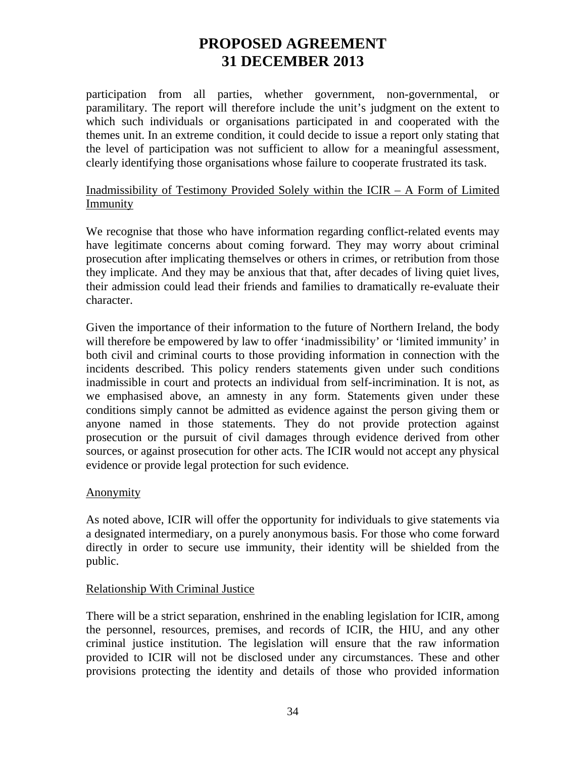participation from all parties, whether government, non-governmental, or paramilitary. The report will therefore include the unit's judgment on the extent to which such individuals or organisations participated in and cooperated with the themes unit. In an extreme condition, it could decide to issue a report only stating that the level of participation was not sufficient to allow for a meaningful assessment, clearly identifying those organisations whose failure to cooperate frustrated its task.

### Inadmissibility of Testimony Provided Solely within the ICIR – A Form of Limited **Immunity**

We recognise that those who have information regarding conflict-related events may have legitimate concerns about coming forward. They may worry about criminal prosecution after implicating themselves or others in crimes, or retribution from those they implicate. And they may be anxious that that, after decades of living quiet lives, their admission could lead their friends and families to dramatically re-evaluate their character.

Given the importance of their information to the future of Northern Ireland, the body will therefore be empowered by law to offer 'inadmissibility' or 'limited immunity' in both civil and criminal courts to those providing information in connection with the incidents described. This policy renders statements given under such conditions inadmissible in court and protects an individual from self-incrimination. It is not, as we emphasised above, an amnesty in any form. Statements given under these conditions simply cannot be admitted as evidence against the person giving them or anyone named in those statements. They do not provide protection against prosecution or the pursuit of civil damages through evidence derived from other sources, or against prosecution for other acts. The ICIR would not accept any physical evidence or provide legal protection for such evidence.

### Anonymity

As noted above, ICIR will offer the opportunity for individuals to give statements via a designated intermediary, on a purely anonymous basis. For those who come forward directly in order to secure use immunity, their identity will be shielded from the public.

### Relationship With Criminal Justice

There will be a strict separation, enshrined in the enabling legislation for ICIR, among the personnel, resources, premises, and records of ICIR, the HIU, and any other criminal justice institution. The legislation will ensure that the raw information provided to ICIR will not be disclosed under any circumstances. These and other provisions protecting the identity and details of those who provided information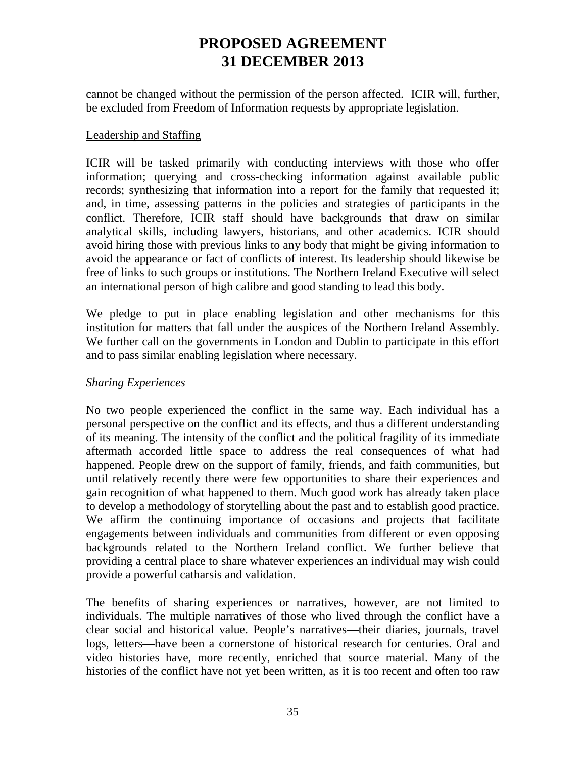cannot be changed without the permission of the person affected. ICIR will, further, be excluded from Freedom of Information requests by appropriate legislation.

### Leadership and Staffing

ICIR will be tasked primarily with conducting interviews with those who offer information; querying and cross-checking information against available public records; synthesizing that information into a report for the family that requested it; and, in time, assessing patterns in the policies and strategies of participants in the conflict. Therefore, ICIR staff should have backgrounds that draw on similar analytical skills, including lawyers, historians, and other academics. ICIR should avoid hiring those with previous links to any body that might be giving information to avoid the appearance or fact of conflicts of interest. Its leadership should likewise be free of links to such groups or institutions. The Northern Ireland Executive will select an international person of high calibre and good standing to lead this body.

We pledge to put in place enabling legislation and other mechanisms for this institution for matters that fall under the auspices of the Northern Ireland Assembly. We further call on the governments in London and Dublin to participate in this effort and to pass similar enabling legislation where necessary.

### *Sharing Experiences*

No two people experienced the conflict in the same way. Each individual has a personal perspective on the conflict and its effects, and thus a different understanding of its meaning. The intensity of the conflict and the political fragility of its immediate aftermath accorded little space to address the real consequences of what had happened. People drew on the support of family, friends, and faith communities, but until relatively recently there were few opportunities to share their experiences and gain recognition of what happened to them. Much good work has already taken place to develop a methodology of storytelling about the past and to establish good practice. We affirm the continuing importance of occasions and projects that facilitate engagements between individuals and communities from different or even opposing backgrounds related to the Northern Ireland conflict. We further believe that providing a central place to share whatever experiences an individual may wish could provide a powerful catharsis and validation.

The benefits of sharing experiences or narratives, however, are not limited to individuals. The multiple narratives of those who lived through the conflict have a clear social and historical value. People's narratives—their diaries, journals, travel logs, letters—have been a cornerstone of historical research for centuries. Oral and video histories have, more recently, enriched that source material. Many of the histories of the conflict have not yet been written, as it is too recent and often too raw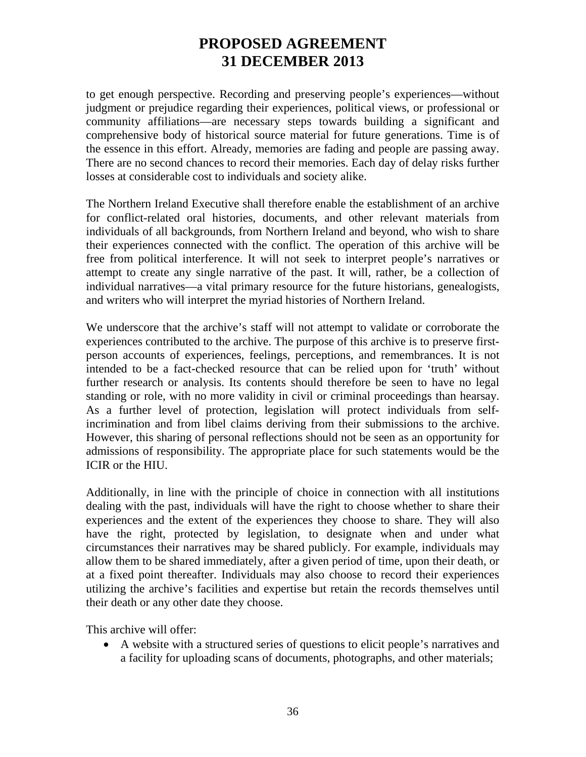to get enough perspective. Recording and preserving people's experiences—without judgment or prejudice regarding their experiences, political views, or professional or community affiliations—are necessary steps towards building a significant and comprehensive body of historical source material for future generations. Time is of the essence in this effort. Already, memories are fading and people are passing away. There are no second chances to record their memories. Each day of delay risks further losses at considerable cost to individuals and society alike.

The Northern Ireland Executive shall therefore enable the establishment of an archive for conflict-related oral histories, documents, and other relevant materials from individuals of all backgrounds, from Northern Ireland and beyond, who wish to share their experiences connected with the conflict. The operation of this archive will be free from political interference. It will not seek to interpret people's narratives or attempt to create any single narrative of the past. It will, rather, be a collection of individual narratives—a vital primary resource for the future historians, genealogists, and writers who will interpret the myriad histories of Northern Ireland.

We underscore that the archive's staff will not attempt to validate or corroborate the experiences contributed to the archive. The purpose of this archive is to preserve firstperson accounts of experiences, feelings, perceptions, and remembrances. It is not intended to be a fact-checked resource that can be relied upon for 'truth' without further research or analysis. Its contents should therefore be seen to have no legal standing or role, with no more validity in civil or criminal proceedings than hearsay. As a further level of protection, legislation will protect individuals from selfincrimination and from libel claims deriving from their submissions to the archive. However, this sharing of personal reflections should not be seen as an opportunity for admissions of responsibility. The appropriate place for such statements would be the ICIR or the HIU.

Additionally, in line with the principle of choice in connection with all institutions dealing with the past, individuals will have the right to choose whether to share their experiences and the extent of the experiences they choose to share. They will also have the right, protected by legislation, to designate when and under what circumstances their narratives may be shared publicly. For example, individuals may allow them to be shared immediately, after a given period of time, upon their death, or at a fixed point thereafter. Individuals may also choose to record their experiences utilizing the archive's facilities and expertise but retain the records themselves until their death or any other date they choose.

This archive will offer:

• A website with a structured series of questions to elicit people's narratives and a facility for uploading scans of documents, photographs, and other materials;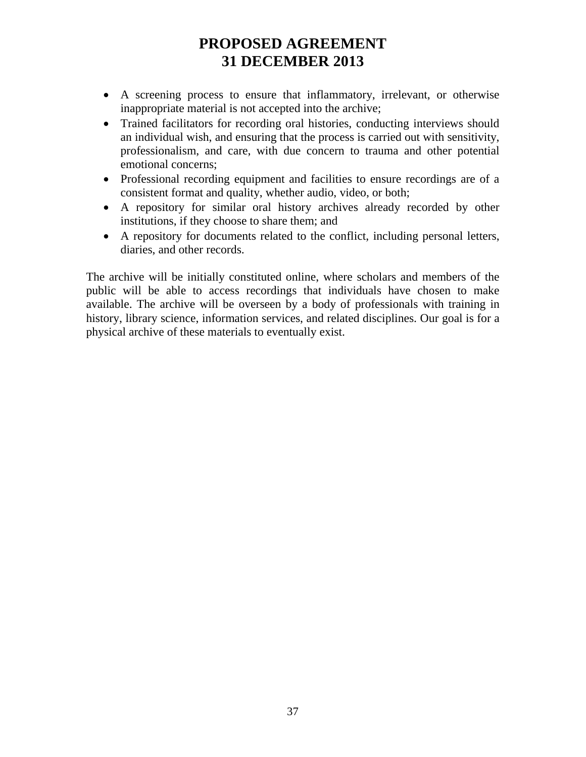- A screening process to ensure that inflammatory, irrelevant, or otherwise inappropriate material is not accepted into the archive;
- Trained facilitators for recording oral histories, conducting interviews should an individual wish, and ensuring that the process is carried out with sensitivity, professionalism, and care, with due concern to trauma and other potential emotional concerns;
- Professional recording equipment and facilities to ensure recordings are of a consistent format and quality, whether audio, video, or both;
- A repository for similar oral history archives already recorded by other institutions, if they choose to share them; and
- A repository for documents related to the conflict, including personal letters, diaries, and other records.

The archive will be initially constituted online, where scholars and members of the public will be able to access recordings that individuals have chosen to make available. The archive will be overseen by a body of professionals with training in history, library science, information services, and related disciplines. Our goal is for a physical archive of these materials to eventually exist.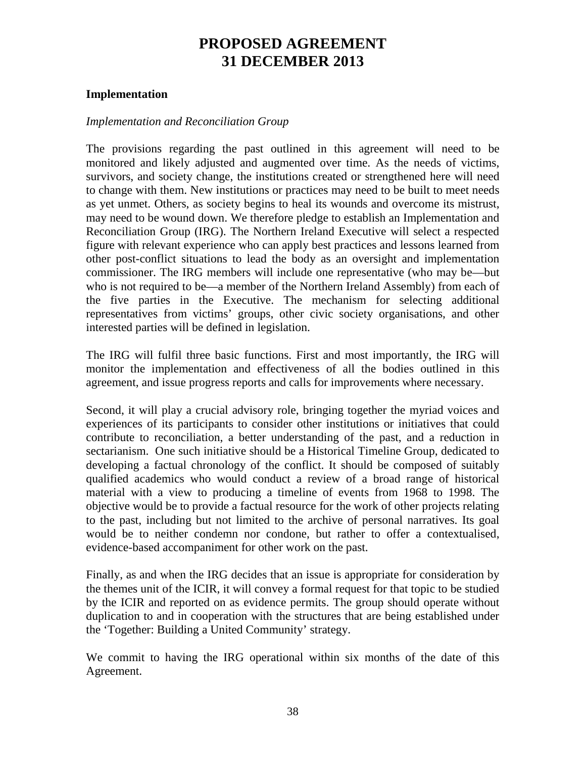### **Implementation**

### *Implementation and Reconciliation Group*

The provisions regarding the past outlined in this agreement will need to be monitored and likely adjusted and augmented over time. As the needs of victims, survivors, and society change, the institutions created or strengthened here will need to change with them. New institutions or practices may need to be built to meet needs as yet unmet. Others, as society begins to heal its wounds and overcome its mistrust, may need to be wound down. We therefore pledge to establish an Implementation and Reconciliation Group (IRG). The Northern Ireland Executive will select a respected figure with relevant experience who can apply best practices and lessons learned from other post-conflict situations to lead the body as an oversight and implementation commissioner. The IRG members will include one representative (who may be—but who is not required to be—a member of the Northern Ireland Assembly) from each of the five parties in the Executive. The mechanism for selecting additional representatives from victims' groups, other civic society organisations, and other interested parties will be defined in legislation.

The IRG will fulfil three basic functions. First and most importantly, the IRG will monitor the implementation and effectiveness of all the bodies outlined in this agreement, and issue progress reports and calls for improvements where necessary.

Second, it will play a crucial advisory role, bringing together the myriad voices and experiences of its participants to consider other institutions or initiatives that could contribute to reconciliation, a better understanding of the past, and a reduction in sectarianism. One such initiative should be a Historical Timeline Group, dedicated to developing a factual chronology of the conflict. It should be composed of suitably qualified academics who would conduct a review of a broad range of historical material with a view to producing a timeline of events from 1968 to 1998. The objective would be to provide a factual resource for the work of other projects relating to the past, including but not limited to the archive of personal narratives. Its goal would be to neither condemn nor condone, but rather to offer a contextualised, evidence-based accompaniment for other work on the past.

Finally, as and when the IRG decides that an issue is appropriate for consideration by the themes unit of the ICIR, it will convey a formal request for that topic to be studied by the ICIR and reported on as evidence permits. The group should operate without duplication to and in cooperation with the structures that are being established under the 'Together: Building a United Community' strategy.

We commit to having the IRG operational within six months of the date of this Agreement.